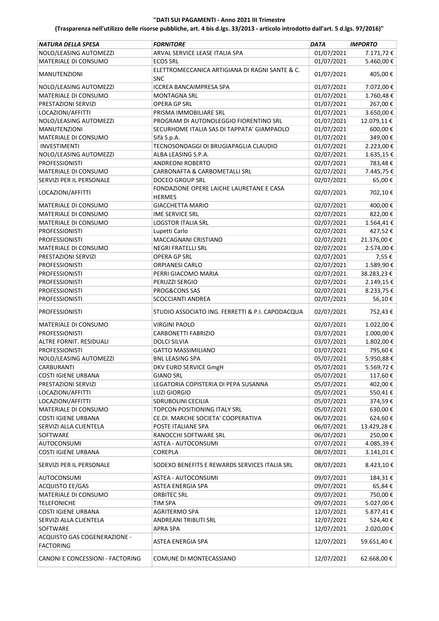| NATURA DELLA SPESA                               | <b>FORNITORE</b>                                 | <b>DATA</b> | <b>IMPORTO</b> |
|--------------------------------------------------|--------------------------------------------------|-------------|----------------|
| NOLO/LEASING AUTOMEZZI                           | ARVAL SERVICE LEASE ITALIA SPA                   | 01/07/2021  | 7.171,72€      |
| MATERIALE DI CONSUMO                             | <b>ECOS SRL</b>                                  | 01/07/2021  | 5.460,00€      |
|                                                  | ELETTROMECCANICA ARTIGIANA DI RAGNI SANTE & C.   |             |                |
| <b>MANUTENZIONI</b>                              | <b>SNC</b>                                       | 01/07/2021  | 405,00€        |
| NOLO/LEASING AUTOMEZZI                           | ICCREA BANCAIMPRESA SPA                          | 01/07/2021  | 7.072,00€      |
|                                                  |                                                  |             |                |
| MATERIALE DI CONSUMO                             | <b>MONTAGNA SRL</b>                              | 01/07/2021  | 1.760,48€      |
| PRESTAZIONI SERVIZI                              | OPERA GP SRL                                     | 01/07/2021  | 267,00€        |
| LOCAZIONI/AFFITTI                                | PRISMA IMMOBILIARE SRL                           | 01/07/2021  | 3.650,00€      |
| NOLO/LEASING AUTOMEZZI                           | PROGRAM DI AUTONOLEGGIO FIORENTINO SRL           | 01/07/2021  | 12.079,11€     |
| <b>MANUTENZIONI</b>                              | SECURHOME ITALIA SAS DI TAPPATA' GIAMPAOLO       | 01/07/2021  | 600,00€        |
| MATERIALE DI CONSUMO                             | Sifà S.p.A.                                      | 01/07/2021  | 349,00€        |
| <b>INVESTIMENTI</b>                              | TECNOSONDAGGI DI BRUGIAPAGLIA CLAUDIO            | 01/07/2021  | 2.223,00€      |
| NOLO/LEASING AUTOMEZZI                           | ALBA LEASING S.P.A.                              | 02/07/2021  | 1.635,15€      |
| <b>PROFESSIONISTI</b>                            | ANDREONI ROBERTO                                 | 02/07/2021  | 783,48€        |
| MATERIALE DI CONSUMO                             | CARBONAFTA & CARBOMETALLI SRL                    | 02/07/2021  | 7.445,75€      |
| SERVIZI PER IL PERSONALE                         | DOCEO GROUP SRL                                  | 02/07/2021  | 65,00€         |
|                                                  | FONDAZIONE OPERE LAICHE LAURETANE E CASA         |             |                |
| LOCAZIONI/AFFITTI                                | <b>HERMES</b>                                    | 02/07/2021  | 702,10€        |
| MATERIALE DI CONSUMO                             | <b>GIACCHETTA MARIO</b>                          | 02/07/2021  | 400,00€        |
| <b>MATERIALE DI CONSUMO</b>                      | IME SERVICE SRL                                  | 02/07/2021  | 822,00€        |
| MATERIALE DI CONSUMO                             | <b>LOGSTOR ITALIA SRL</b>                        | 02/07/2021  | 1.564,41€      |
| <b>PROFESSIONISTI</b>                            | Lupetti Carlo                                    | 02/07/2021  | 427,52€        |
| <b>PROFESSIONISTI</b>                            | MACCAGNANI CRISTIANO                             | 02/07/2021  | 21.376,00€     |
| MATERIALE DI CONSUMO                             | <b>NEGRI FRATELLI SRL</b>                        | 02/07/2021  | 2.574,00€      |
| PRESTAZIONI SERVIZI                              | OPERA GP SRL                                     | 02/07/2021  | 7,55€          |
|                                                  | <b>ORPIANESI CARLO</b>                           | 02/07/2021  |                |
| <b>PROFESSIONISTI</b>                            |                                                  |             | 1.589,90€      |
| <b>PROFESSIONISTI</b>                            | PERRI GIACOMO MARIA                              | 02/07/2021  | 38.283,23€     |
| <b>PROFESSIONISTI</b>                            | PERUZZI SERGIO                                   | 02/07/2021  | 2.149,15€      |
| <b>PROFESSIONISTI</b>                            | PROG&CONS SAS                                    | 02/07/2021  | 8.233,75€      |
| <b>PROFESSIONISTI</b>                            | SCOCCIANTI ANDREA                                | 02/07/2021  | 56,10€         |
| <b>PROFESSIONISTI</b>                            | STUDIO ASSOCIATO ING. FERRETTI & P.I. CAPODACQUA | 02/07/2021  | 752,43€        |
| MATERIALE DI CONSUMO                             | <b>VIRGINI PAOLO</b>                             | 02/07/2021  | 1.022,00€      |
| <b>PROFESSIONISTI</b>                            | CARBONETTI FABRIZIO                              | 03/07/2021  | 1.000,00€      |
| ALTRE FORNIT. RESIDUALI                          | <b>DOLCI SILVIA</b>                              | 03/07/2021  | 1.802,00€      |
| <b>PROFESSIONISTI</b>                            | <b>GATTO MASSIMILIANO</b>                        | 03/07/2021  | 795,60€        |
| NOLO/LEASING AUTOMEZZI                           | <b>BNL LEASING SPA</b>                           | 05/07/2021  | 5.950,88€      |
| <b>CARBURANTI</b>                                | DKV EURO SERVICE GmgH                            | 05/07/2021  | 5.569,72€      |
| <b>COSTI IGIENE URBANA</b>                       | <b>GIANO SRL</b>                                 | 05/07/2021  | 117,60€        |
| PRESTAZIONI SERVIZI                              | LEGATORIA COPISTERIA DI PEPA SUSANNA             | 05/07/2021  | 402,00€        |
| LOCAZIONI/AFFITTI                                | <b>LUZI GIORGIO</b>                              | 05/07/2021  | 550,41€        |
| LOCAZIONI/AFFITTI                                |                                                  |             |                |
|                                                  | SDRUBOLINI CECILIA                               | 05/07/2021  | 374,59€        |
| MATERIALE DI CONSUMO                             | TOPCON POSITIONING ITALY SRL                     | 05/07/2021  | 630,00€        |
| COSTI IGIENE URBANA                              | CE.DI. MARCHE SOCIETA' COOPERATIVA               | 06/07/2021  | 624,60€        |
| SERVIZI ALLA CLIENTELA                           | POSTE ITALIANE SPA                               | 06/07/2021  | 13.429,28€     |
| <b>SOFTWARE</b>                                  | RANOCCHI SOFTWARE SRL                            | 06/07/2021  | 250,00€        |
| <b>AUTOCONSUMI</b>                               | ASTEA - AUTOCONSUMI                              | 07/07/2021  | 4.085,39€      |
| <b>COSTI IGIENE URBANA</b>                       | <b>COREPLA</b>                                   | 08/07/2021  | 3.141,01€      |
| SERVIZI PER IL PERSONALE                         | SODEXO BENEFITS E REWARDS SERVICES ITALIA SRL    | 08/07/2021  | 8.423,10€      |
| <b>AUTOCONSUMI</b>                               | ASTEA - AUTOCONSUMI                              | 09/07/2021  | 184,31€        |
| ACQUISTO EE/GAS                                  | ASTEA ENERGIA SPA                                | 09/07/2021  | 65,84€         |
| MATERIALE DI CONSUMO                             | <b>ORBITEC SRL</b>                               | 09/07/2021  | 750,00€        |
| <b>TELEFONICHE</b>                               | TIM SPA                                          | 09/07/2021  | 5.027,00€      |
| <b>COSTI IGIENE URBANA</b>                       | <b>AGRITERMO SPA</b>                             | 12/07/2021  |                |
| SERVIZI ALLA CLIENTELA                           | ANDREANI TRIBUTI SRL                             | 12/07/2021  | 5.877,41€      |
|                                                  |                                                  |             | 524,40€        |
| SOFTWARE                                         | <b>APRA SPA</b>                                  | 12/07/2021  | 2.020,00€      |
| ACQUISTO GAS COGENERAZIONE -<br><b>FACTORING</b> | ASTEA ENERGIA SPA                                | 12/07/2021  | 59.651,40€     |
| CANONI E CONCESSIONI - FACTORING                 | COMUNE DI MONTECASSIANO                          | 12/07/2021  | 62.668,00€     |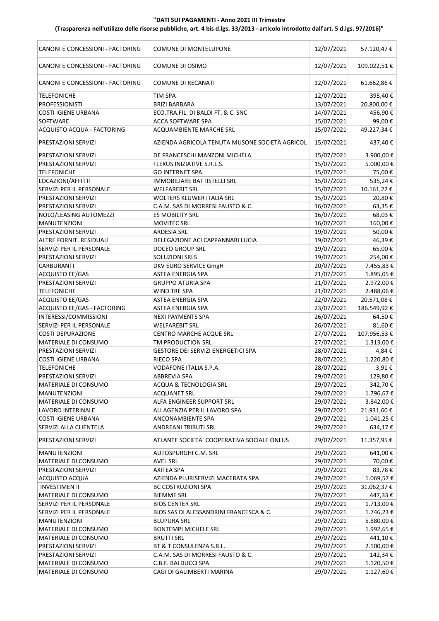| CANONI E CONCESSIONI - FACTORING | COMUNE DI MONTELUPONE                                      | 12/07/2021 | 57.120,47€  |
|----------------------------------|------------------------------------------------------------|------------|-------------|
| CANONI E CONCESSIONI - FACTORING | COMUNE DI OSIMO                                            | 12/07/2021 | 109.022,51€ |
| CANONI E CONCESSIONI - FACTORING | <b>COMUNE DI RECANATI</b>                                  | 12/07/2021 | 61.662,86€  |
| <b>TELEFONICHE</b>               | <b>TIM SPA</b>                                             | 12/07/2021 | 395,40€     |
| <b>PROFESSIONISTI</b>            | <b>BRIZI BARBARA</b>                                       | 13/07/2021 | 20.800,00€  |
| <b>COSTI IGIENE URBANA</b>       | ECO.TRA.FIL. DI BALDI FT. & C. SNC                         | 14/07/2021 | 456,90€     |
| SOFTWARE                         | <b>ACCA SOFTWARE SPA</b>                                   | 15/07/2021 | 99,00€      |
| ACQUISTO ACQUA - FACTORING       | ACQUAMBIENTE MARCHE SRL                                    | 15/07/2021 | 49.227,34€  |
| PRESTAZIONI SERVIZI              | AZIENDA AGRICOLA TENUTA MUSONE SOCIETÀ AGRICOL             | 15/07/2021 | 437,40€     |
| PRESTAZIONI SERVIZI              | DE FRANCESCHI MANZONI MICHELA                              | 15/07/2021 | 3.900,00€   |
| PRESTAZIONI SERVIZI              | FLEXUS INIZIATIVE S.R.L.S.                                 | 15/07/2021 | 5.000,00 €  |
| <b>TELEFONICHE</b>               | <b>GO INTERNET SPA</b>                                     | 15/07/2021 | 75,00€      |
| LOCAZIONI/AFFITTI                | IMMOBILIARE BATTISTELLI SRL                                | 15/07/2021 | 535,24€     |
| SERVIZI PER IL PERSONALE         | <b>WELFAREBIT SRL</b>                                      | 15/07/2021 | 10.161,22€  |
| PRESTAZIONI SERVIZI              | WOLTERS KLUWER ITALIA SRL                                  | 15/07/2021 | 20,80€      |
| PRESTAZIONI SERVIZI              | C.A.M. SAS DI MORRESI FAUSTO & C.                          | 16/07/2021 | 63,35€      |
| NOLO/LEASING AUTOMEZZI           | ES MOBILITY SRL                                            | 16/07/2021 | 68,03€      |
| <b>MANUTENZIONI</b>              | <b>MOVITEC SRL</b>                                         | 16/07/2021 | 160,00€     |
| PRESTAZIONI SERVIZI              | <b>ARDESIA SRL</b>                                         | 19/07/2021 | 50,00€      |
| <b>ALTRE FORNIT, RESIDUALI</b>   |                                                            | 19/07/2021 | 46,39€      |
|                                  | DELEGAZIONE ACI CAPPANNARI LUCIA<br><b>DOCEO GROUP SRL</b> |            |             |
| SERVIZI PER IL PERSONALE         |                                                            | 19/07/2021 | 65,00€      |
| PRESTAZIONI SERVIZI              | SOLUZIONI SRLS                                             | 19/07/2021 | 254,00€     |
| CARBURANTI                       | DKV EURO SERVICE GmgH                                      | 20/07/2021 | 7.455,83 €  |
| <b>ACQUISTO EE/GAS</b>           | ASTEA ENERGIA SPA                                          | 21/07/2021 | 1.895,05€   |
| PRESTAZIONI SERVIZI              | <b>GRUPPO ATURIA SPA</b>                                   | 21/07/2021 | 2.972,00 €  |
| <b>TELEFONICHE</b>               | WIND TRE SPA                                               | 21/07/2021 | 2.488,06€   |
| <b>ACQUISTO EE/GAS</b>           | ASTEA ENERGIA SPA                                          | 22/07/2021 | 20.571,08€  |
| ACQUISTO EE/GAS - FACTORING      | ASTEA ENERGIA SPA                                          | 23/07/2021 | 186.549,92€ |
| INTERESSI/COMMISSIONI            | <b>NEXI PAYMENTS SPA</b>                                   | 26/07/2021 | 64,50€      |
| SERVIZI PER IL PERSONALE         | <b>WELFAREBIT SRL</b>                                      | 26/07/2021 | 81,60€      |
| <b>COSTI DEPURAZIONE</b>         | <b>CENTRO MARCHE ACQUE SRL</b>                             | 27/07/2021 | 107.956,53€ |
| MATERIALE DI CONSUMO             | TM PRODUCTION SRL                                          | 27/07/2021 | 1.313,00 €  |
| PRESTAZIONI SERVIZI              | GESTORE DEI SERVIZI ENERGETICI SPA                         | 28/07/2021 | 4,84€       |
| <b>COSTI IGIENE URBANA</b>       | RIECO SPA                                                  | 28/07/2021 | 1.220,80€   |
| <b>TELEFONICHE</b>               | VODAFONE ITALIA S.P.A.                                     | 28/07/2021 | 3,91€       |
| PRESTAZIONI SERVIZI              | ABBREVIA SPA                                               | 29/07/2021 | 129,80€     |
| MATERIALE DI CONSUMO             | ACQUA & TECNOLOGIA SRL                                     | 29/07/2021 | 342,70€     |
| <b>MANUTENZIONI</b>              | <b>ACQUANET SRL</b>                                        | 29/07/2021 | 1.796,67€   |
| MATERIALE DI CONSUMO             | ALFA ENGINEER SUPPORT SRL                                  | 29/07/2021 | 3.842,00 €  |
| LAVORO INTERINALE                | ALI AGENZIA PER IL LAVORO SPA                              | 29/07/2021 | 21.931,60€  |
| <b>COSTI IGIENE URBANA</b>       | ANCONAMBIENTE SPA                                          | 29/07/2021 | 1.041,25 €  |
| SERVIZI ALLA CLIENTELA           | ANDREANI TRIBUTI SRL                                       | 29/07/2021 | 634,17€     |
| PRESTAZIONI SERVIZI              | ATLANTE SOCIETA' COOPERATIVA SOCIALE ONLUS                 | 29/07/2021 | 11.357,95€  |
| MANUTENZIONI                     | AUTOSPURGHI C.M. SRL                                       | 29/07/2021 | 641,00€     |
| MATERIALE DI CONSUMO             | <b>AVEL SRL</b>                                            | 29/07/2021 | 70,00€      |
| PRESTAZIONI SERVIZI              | AXITEA SPA                                                 | 29/07/2021 | 83,78€      |
| <b>ACQUISTO ACQUA</b>            | AZIENDA PLURISERVIZI MACERATA SPA                          | 29/07/2021 | 1.069,57€   |
| INVESTIMENTI                     | <b>BC COSTRUZIONI SPA</b>                                  | 29/07/2021 | 31.062,37€  |
| MATERIALE DI CONSUMO             | <b>BIEMME SRL</b>                                          | 29/07/2021 | 447,33 €    |
| SERVIZI PER IL PERSONALE         | <b>BIOS CENTER SRL</b>                                     | 29/07/2021 | 1.713,00 €  |
| SERVIZI PER IL PERSONALE         | BIOS SAS DI ALESSANDRINI FRANCESCA & C.                    | 29/07/2021 | 1.746,23€   |
| MANUTENZIONI                     | <b>BLUPURA SRL</b>                                         | 29/07/2021 | 5.880,00 €  |
| MATERIALE DI CONSUMO             | <b>BONTEMPI MICHELE SRL</b>                                | 29/07/2021 | 1.992,65 €  |
| MATERIALE DI CONSUMO             | <b>BRUTTI SRL</b>                                          | 29/07/2021 | 441,10€     |
| PRESTAZIONI SERVIZI              | BT & T CONSULENZA S.R.L.                                   | 29/07/2021 | 2.100,00 €  |
| PRESTAZIONI SERVIZI              | C.A.M. SAS DI MORRESI FAUSTO & C.                          | 29/07/2021 | 142,34 €    |
| MATERIALE DI CONSUMO             | C.B.F. BALDUCCI SPA                                        | 29/07/2021 | 1.120,50€   |
| MATERIALE DI CONSUMO             | CAGI DI GALIMBERTI MARINA                                  | 29/07/2021 | 1.127,60€   |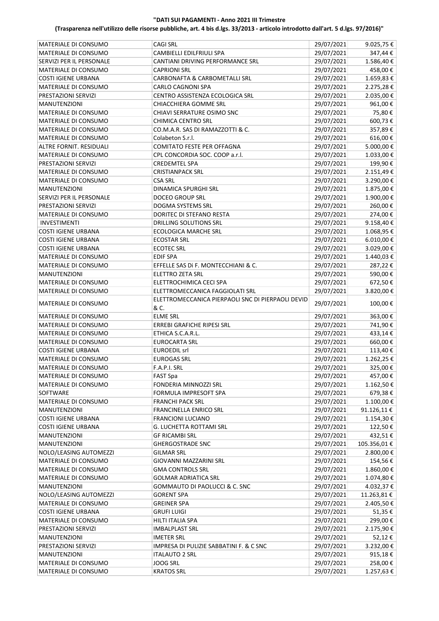|                                                |                                                   |                          | 9.025,75€      |
|------------------------------------------------|---------------------------------------------------|--------------------------|----------------|
| MATERIALE DI CONSUMO                           | CAGI SRL                                          | 29/07/2021               |                |
| MATERIALE DI CONSUMO                           | CAMBIELLI EDILFRIULI SPA                          | 29/07/2021               | 347,44€        |
| SERVIZI PER IL PERSONALE                       | CANTIANI DRIVING PERFORMANCE SRL                  | 29/07/2021               | 1.586,40€      |
| MATERIALE DI CONSUMO                           | CAPRIONI SRL                                      | 29/07/2021               | 458,00€        |
| <b>COSTI IGIENE URBANA</b>                     | CARBONAFTA & CARBOMETALLI SRL                     | 29/07/2021               | 1.659,83€      |
| MATERIALE DI CONSUMO                           | CARLO CAGNONI SPA                                 | 29/07/2021               | 2.275,28€      |
| PRESTAZIONI SERVIZI                            | CENTRO ASSISTENZA ECOLOGICA SRL                   | 29/07/2021               | 2.035,00€      |
| <b>MANUTENZIONI</b>                            | CHIACCHIERA GOMME SRL                             | 29/07/2021               | 961,00€        |
| MATERIALE DI CONSUMO                           | CHIAVI SERRATURE OSIMO SNC                        | 29/07/2021               | 75,80€         |
| MATERIALE DI CONSUMO                           | <b>CHIMICA CENTRO SRL</b>                         | 29/07/2021               | 600,73€        |
| <b>MATERIALE DI CONSUMO</b>                    | CO.M.A.R. SAS DI RAMAZZOTTI & C.                  | 29/07/2021               | 357,89€        |
| MATERIALE DI CONSUMO                           | Colabeton S.r.l.                                  | 29/07/2021               | 616,00€        |
| ALTRE FORNIT. RESIDUALI                        | COMITATO FESTE PER OFFAGNA                        | 29/07/2021               | 5.000,00€      |
| MATERIALE DI CONSUMO                           | CPL CONCORDIA SOC. COOP a.r.l.                    | 29/07/2021               | 1.033,00€      |
| PRESTAZIONI SERVIZI                            | <b>CREDEMTEL SPA</b>                              | 29/07/2021               | 199,90€        |
| MATERIALE DI CONSUMO                           | <b>CRISTIANPACK SRL</b>                           | 29/07/2021               | 2.151,49€      |
| MATERIALE DI CONSUMO                           | CSA SRL                                           | 29/07/2021               | 3.290,00€      |
|                                                | <b>DINAMICA SPURGHI SRL</b>                       | 29/07/2021               | 1.875,00€      |
| <b>MANUTENZIONI</b>                            |                                                   |                          |                |
| SERVIZI PER IL PERSONALE                       | <b>DOCEO GROUP SRL</b>                            | 29/07/2021               | 1.900,00€      |
| PRESTAZIONI SERVIZI                            | DOGMA SYSTEMS SRL                                 | 29/07/2021               | 260,00€        |
| MATERIALE DI CONSUMO                           | DORITEC DI STEFANO RESTA                          | 29/07/2021               | 274,00€        |
| <b>INVESTIMENTI</b>                            | <b>DRILLING SOLUTIONS SRL</b>                     | 29/07/2021               | 9.158,40€      |
| <b>COSTI IGIENE URBANA</b>                     | <b>ECOLOGICA MARCHE SRL</b>                       | 29/07/2021               | 1.068,95€      |
| <b>COSTI IGIENE URBANA</b>                     | <b>ECOSTAR SRL</b>                                | 29/07/2021               | $6.010,00 \in$ |
| <b>COSTI IGIENE URBANA</b>                     | <b>ECOTEC SRL</b>                                 | 29/07/2021               | 3.029,00€      |
| MATERIALE DI CONSUMO                           | <b>EDIF SPA</b>                                   | 29/07/2021               | 1.440,03€      |
| MATERIALE DI CONSUMO                           | EFFELLE SAS Di F. MONTECCHIANI & C.               | 29/07/2021               | 287,22€        |
| <b>MANUTENZIONI</b>                            | <b>ELETTRO ZETA SRL</b>                           | 29/07/2021               | 590,00€        |
| MATERIALE DI CONSUMO                           | ELETTROCHIMICA CECI SPA                           | 29/07/2021               | 672,50€        |
| MATERIALE DI CONSUMO                           | ELETTROMECCANICA FAGGIOLATI SRL                   | 29/07/2021               | 3.820,00€      |
|                                                | ELETTROMECCANICA PIERPAOLI SNC DI PIERPAOLI DEVID |                          |                |
| MATERIALE DI CONSUMO                           | & C.                                              | 29/07/2021               | 100,00€        |
| MATERIALE DI CONSUMO                           | <b>ELME SRL</b>                                   | 29/07/2021               | 363,00€        |
| <b>MATERIALE DI CONSUMO</b>                    |                                                   |                          |                |
| <b>MATERIALE DI CONSUMO</b>                    | ERREBI GRAFICHE RIPESI SRL                        | 29/07/2021               | 741,90€        |
|                                                | ETHICA S.C.A.R.L.                                 | 29/07/2021               | 433,14€        |
| MATERIALE DI CONSUMO                           | <b>EUROCARTA SRL</b>                              | 29/07/2021               | 660,00€        |
| <b>COSTI IGIENE URBANA</b>                     | <b>EUROEDIL srl</b>                               | 29/07/2021               | 113,40€        |
| MATERIALE DI CONSUMO                           | <b>EUROGAS SRL</b>                                | 29/07/2021               | 1.262,25€      |
| MATERIALE DI CONSUMO                           | F.A.P.I. SRL                                      | 29/07/2021               | 325,00€        |
| MATERIALE DI CONSUMO                           | FAST Spa                                          | 29/07/2021               | 457,00€        |
| MATERIALE DI CONSUMO                           | FONDERIA MINNOZZI SRL                             | 29/07/2021               | 1.162,50€      |
| SOFTWARE                                       | FORMULA IMPRESOFT SPA                             | 29/07/2021               | 679,38€        |
| MATERIALE DI CONSUMO                           | <b>FRANCHI PACK SRL</b>                           | 29/07/2021               | 1.100,00 €     |
| <b>MANUTENZIONI</b>                            | <b>FRANCINELLA ENRICO SRL</b>                     | 29/07/2021               | 91.126,11€     |
| <b>COSTI IGIENE URBANA</b>                     | FRANCIONI LUCIANO                                 | 29/07/2021               | 1.154,30€      |
| <b>COSTI IGIENE URBANA</b>                     | G. LUCHETTA ROTTAMI SRL                           | 29/07/2021               | 122,50€        |
| <b>MANUTENZIONI</b>                            | <b>GF RICAMBI SRL</b>                             | 29/07/2021               | 432,51€        |
| <b>MANUTENZIONI</b>                            | <b>GHERGOSTRADE SNC</b>                           | 29/07/2021               | 105.356,01€    |
| NOLO/LEASING AUTOMEZZI                         | <b>GILMAR SRL</b>                                 | 29/07/2021               | 2.800,00 €     |
| MATERIALE DI CONSUMO                           | <b>GIOVANNI MAZZARINI SRL</b>                     | 29/07/2021               | 154,56€        |
| MATERIALE DI CONSUMO                           | <b>GMA CONTROLS SRL</b>                           | 29/07/2021               | 1.860,00€      |
| MATERIALE DI CONSUMO                           | <b>GOLMAR ADRIATICA SRL</b>                       | 29/07/2021               | 1.074,80€      |
| <b>MANUTENZIONI</b>                            | GOMMAUTO DI PAOLUCCI & C. SNC                     | 29/07/2021               | 4.032,37€      |
|                                                |                                                   |                          |                |
| NOLO/LEASING AUTOMEZZI<br>MATERIALE DI CONSUMO | <b>GORENT SPA</b>                                 | 29/07/2021               | 11.263,81€     |
|                                                | <b>GREINER SPA</b>                                | 29/07/2021               | 2.405,50€      |
| <b>COSTI IGIENE URBANA</b>                     | GRUFI LUIGI                                       | 29/07/2021               | 51,35€         |
| MATERIALE DI CONSUMO                           | HILTI ITALIA SPA                                  | 29/07/2021               | 299,00€        |
| PRESTAZIONI SERVIZI                            | <b>IMBALPLAST SRL</b>                             | 29/07/2021               | 2.175,90€      |
| <b>MANUTENZIONI</b>                            | <b>IMETER SRL</b>                                 | 29/07/2021               | 52,12€         |
| PRESTAZIONI SERVIZI                            | IMPRESA DI PULIZIE SABBATINI F. & C SNC           | 29/07/2021               | 3.232,00€      |
| <b>MANUTENZIONI</b>                            |                                                   |                          |                |
|                                                | <b>ITALAUTO 2 SRL</b>                             | 29/07/2021               | 915,18€        |
| MATERIALE DI CONSUMO                           | <b>JOOG SRL</b>                                   | 29/07/2021<br>29/07/2021 | 258,00€        |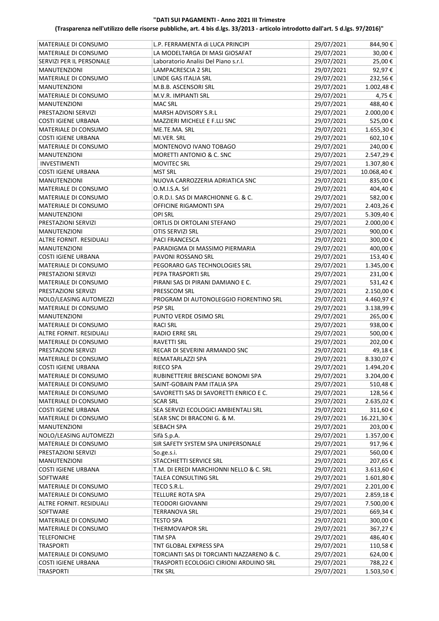| MATERIALE DI CONSUMO           | L.P. FERRAMENTA di LUCA PRINCIPI          | 29/07/2021 | 844,90€    |
|--------------------------------|-------------------------------------------|------------|------------|
| MATERIALE DI CONSUMO           | LA MODELTARGA DI MASI GIOSAFAT            | 29/07/2021 | 30,00€     |
| SERVIZI PER IL PERSONALE       | Laboratorio Analisi Del Piano s.r.l.      | 29/07/2021 | 25,00€     |
| <b>MANUTENZIONI</b>            | LAMPACRESCIA 2 SRL                        | 29/07/2021 | 92,97€     |
| MATERIALE DI CONSUMO           | LINDE GAS ITALIA SRL                      | 29/07/2021 | 232,56€    |
| <b>MANUTENZIONI</b>            | M.B.B. ASCENSORI SRL                      | 29/07/2021 | 1.002,48€  |
| MATERIALE DI CONSUMO           | M.V.R. IMPIANTI SRL                       | 29/07/2021 | 4,75 €     |
| <b>MANUTENZIONI</b>            | <b>MAC SRL</b>                            | 29/07/2021 | 488,40€    |
| PRESTAZIONI SERVIZI            | MARSH ADVISORY S.R.L                      | 29/07/2021 | 2.000,00 € |
| <b>COSTI IGIENE URBANA</b>     | MAZZIERI MICHELE E F.LLI SNC              | 29/07/2021 | 525,00€    |
| <b>MATERIALE DI CONSUMO</b>    | ME.TE.MA. SRL                             | 29/07/2021 | 1.655,30€  |
| <b>COSTI IGIENE URBANA</b>     | MI.VER. SRL                               | 29/07/2021 | 602,10€    |
|                                |                                           | 29/07/2021 | 240,00€    |
| MATERIALE DI CONSUMO           | MONTENOVO IVANO TOBAGO                    |            |            |
| <b>MANUTENZIONI</b>            | MORETTI ANTONIO & C. SNC                  | 29/07/2021 | 2.547,29€  |
| <b>INVESTIMENTI</b>            | <b>MOVITEC SRL</b>                        | 29/07/2021 | 1.307,80€  |
| <b>COSTI IGIENE URBANA</b>     | <b>MST SRL</b>                            | 29/07/2021 | 10.068,40€ |
| <b>MANUTENZIONI</b>            | NUOVA CARROZZERIA ADRIATICA SNC           | 29/07/2021 | 835,00€    |
| MATERIALE DI CONSUMO           | O.M.I.S.A. Srl                            | 29/07/2021 | 404,40€    |
| MATERIALE DI CONSUMO           | O.R.D.I. SAS DI MARCHIONNE G. & C.        | 29/07/2021 | 582,00€    |
| MATERIALE DI CONSUMO           | OFFICINE RIGAMONTI SPA                    | 29/07/2021 | 2.403,26€  |
| <b>MANUTENZIONI</b>            | <b>OPI SRL</b>                            | 29/07/2021 | 5.309,40€  |
| PRESTAZIONI SERVIZI            | ORTLIS DI ORTOLANI STEFANO                | 29/07/2021 | 2.000,00 € |
| <b>MANUTENZIONI</b>            | OTIS SERVIZI SRL                          | 29/07/2021 | 900,00€    |
| ALTRE FORNIT. RESIDUALI        | <b>PACI FRANCESCA</b>                     | 29/07/2021 | 300,00€    |
| <b>MANUTENZIONI</b>            | PARADIGMA DI MASSIMO PIERMARIA            | 29/07/2021 | 400,00€    |
|                                |                                           |            |            |
| <b>COSTI IGIENE URBANA</b>     | PAVONI ROSSANO SRL                        | 29/07/2021 | 153,40€    |
| MATERIALE DI CONSUMO           | PEGORARO GAS TECHNOLOGIES SRL             | 29/07/2021 | 1.345,00 € |
| PRESTAZIONI SERVIZI            | PEPA TRASPORTI SRL                        | 29/07/2021 | 231,00€    |
| MATERIALE DI CONSUMO           | PIRANI SAS DI PIRANI DAMIANO E C.         | 29/07/2021 | 531,42€    |
| PRESTAZIONI SERVIZI            | PRESSCOM SRL                              | 29/07/2021 | 2.150,00 € |
| NOLO/LEASING AUTOMEZZI         | PROGRAM DI AUTONOLEGGIO FIORENTINO SRL    | 29/07/2021 | 4.460,97€  |
| MATERIALE DI CONSUMO           | <b>PSP SRL</b>                            | 29/07/2021 | 3.138,99€  |
| <b>MANUTENZIONI</b>            | PUNTO VERDE OSIMO SRL                     | 29/07/2021 | 265,00€    |
| <b>MATERIALE DI CONSUMO</b>    | <b>RACI SRL</b>                           | 29/07/2021 | 938,00€    |
| <b>ALTRE FORNIT, RESIDUALI</b> | <b>RADIO ERRE SRL</b>                     | 29/07/2021 | 500,00€    |
| MATERIALE DI CONSUMO           | <b>RAVETTI SRL</b>                        | 29/07/2021 | 202,00€    |
| PRESTAZIONI SERVIZI            | RECAR DI SEVERINI ARMANDO SNC             | 29/07/2021 | 49,18€     |
| MATERIALE DI CONSUMO           | REMATARLAZZI SPA                          | 29/07/2021 | 8.330,07€  |
| <b>COSTI IGIENE URBANA</b>     | <b>RIECO SPA</b>                          | 29/07/2021 | 1.494,20€  |
| MATERIALE DI CONSUMO           | RUBINETTERIE BRESCIANE BONOMI SPA         | 29/07/2021 | 3.204,00 € |
| MATERIALE DI CONSUMO           | SAINT-GOBAIN PAM ITALIA SPA               | 29/07/2021 | 510,48€    |
| MATERIALE DI CONSUMO           | SAVORETTI SAS DI SAVORETTI ENRICO E C.    | 29/07/2021 | 128,56€    |
| MATERIALE DI CONSUMO           |                                           |            |            |
|                                | <b>SCAR SRL</b>                           | 29/07/2021 | 2.635,02€  |
| <b>COSTI IGIENE URBANA</b>     | SEA SERVIZI ECOLOGICI AMBIENTALI SRL      | 29/07/2021 | 311,60€    |
| MATERIALE DI CONSUMO           | SEAR SNC DI BRACONI G. & M.               | 29/07/2021 | 16.221,30€ |
| MANUTENZIONI                   | SEBACH SPA                                | 29/07/2021 | 203,00€    |
| NOLO/LEASING AUTOMEZZI         | Sifà S.p.A.                               | 29/07/2021 | 1.357,00 € |
| MATERIALE DI CONSUMO           | SIR SAFETY SYSTEM SPA UNIPERSONALE        | 29/07/2021 | 917,96€    |
| PRESTAZIONI SERVIZI            | So.ge.s.i.                                | 29/07/2021 | 560,00€    |
| MANUTENZIONI                   | STACCHIETTI SERVICE SRL                   | 29/07/2021 | 207,65€    |
| <b>COSTI IGIENE URBANA</b>     | T.M. DI EREDI MARCHIONNI NELLO & C. SRL   | 29/07/2021 | 3.613,60€  |
| SOFTWARE                       | TALEA CONSULTING SRL                      | 29/07/2021 | 1.601,80€  |
| MATERIALE DI CONSUMO           | TECO S.R.L.                               | 29/07/2021 | 2.201,00 € |
| MATERIALE DI CONSUMO           | TELLURE ROTA SPA                          | 29/07/2021 | 2.859,18€  |
| ALTRE FORNIT. RESIDUALI        | <b>TEODORI GIOVANNI</b>                   | 29/07/2021 | 7.500,00 € |
| SOFTWARE                       | <b>TERRANOVA SRL</b>                      | 29/07/2021 | 669,34€    |
| MATERIALE DI CONSUMO           | <b>TESTO SPA</b>                          | 29/07/2021 | 300,00€    |
| MATERIALE DI CONSUMO           | THERMOVAPOR SRL                           | 29/07/2021 | 367,27€    |
| <b>TELEFONICHE</b>             | TIM SPA                                   | 29/07/2021 | 486,40€    |
| <b>TRASPORTI</b>               | TNT GLOBAL EXPRESS SPA                    | 29/07/2021 | 110,58€    |
|                                |                                           | 29/07/2021 |            |
| MATERIALE DI CONSUMO           | TORCIANTI SAS DI TORCIANTI NAZZARENO & C. |            | 624,00€    |
| <b>COSTI IGIENE URBANA</b>     | TRASPORTI ECOLOGICI CIRIONI ARDUINO SRL   | 29/07/2021 | 788,22€    |
| <b>TRASPORTI</b>               | <b>TRK SRL</b>                            | 29/07/2021 | 1.503,50€  |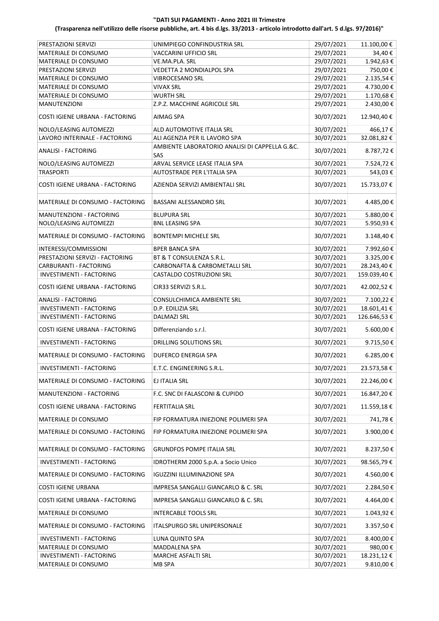| PRESTAZIONI SERVIZI              | UNIMPIEGO CONFINDUSTRIA SRL                           | 29/07/2021 | 11.100,00 € |
|----------------------------------|-------------------------------------------------------|------------|-------------|
| <b>MATERIALE DI CONSUMO</b>      | VACCARINI UFFICIO SRL                                 | 29/07/2021 | 34,40€      |
| MATERIALE DI CONSUMO             | VE.MA.PLA. SRL                                        | 29/07/2021 | 1.942,63€   |
| PRESTAZIONI SERVIZI              | VEDETTA 2 MONDIALPOL SPA                              | 29/07/2021 | 750,00€     |
| MATERIALE DI CONSUMO             | <b>VIBROCESANO SRL</b>                                | 29/07/2021 | 2.135,54€   |
| MATERIALE DI CONSUMO             | <b>VIVAX SRL</b>                                      | 29/07/2021 | 4.730,00€   |
| MATERIALE DI CONSUMO             | WURTH SRL                                             | 29/07/2021 | 1.170,68€   |
| <b>MANUTENZIONI</b>              | Z.P.Z. MACCHINE AGRICOLE SRL                          | 29/07/2021 | 2.430,00 €  |
| COSTI IGIENE URBANA - FACTORING  | AIMAG SPA                                             | 30/07/2021 | 12.940,40€  |
| NOLO/LEASING AUTOMEZZI           | ALD AUTOMOTIVE ITALIA SRL                             | 30/07/2021 | 466,17€     |
| LAVORO INTERINALE - FACTORING    | ALI AGENZIA PER IL LAVORO SPA                         | 30/07/2021 | 32.081,82€  |
| <b>ANALISI - FACTORING</b>       | AMBIENTE LABORATORIO ANALISI DI CAPPELLA G.&C.<br>SAS | 30/07/2021 | 8.787,72€   |
| NOLO/LEASING AUTOMEZZI           | ARVAL SERVICE LEASE ITALIA SPA                        | 30/07/2021 | 7.524,72 €  |
| <b>TRASPORTI</b>                 | AUTOSTRADE PER L'ITALIA SPA                           | 30/07/2021 | 543,03€     |
| COSTI IGIENE URBANA - FACTORING  | AZIENDA SERVIZI AMBIENTALI SRL                        | 30/07/2021 | 15.733,07€  |
| MATERIALE DI CONSUMO - FACTORING | BASSANI ALESSANDRO SRL                                | 30/07/2021 | 4.485,00 €  |
| MANUTENZIONI - FACTORING         | <b>BLUPURA SRL</b>                                    | 30/07/2021 | 5.880,00€   |
| NOLO/LEASING AUTOMEZZI           | <b>BNL LEASING SPA</b>                                | 30/07/2021 | 5.950,93€   |
| MATERIALE DI CONSUMO - FACTORING | <b>BONTEMPI MICHELE SRL</b>                           | 30/07/2021 | 3.148,40€   |
| INTERESSI/COMMISSIONI            | <b>BPER BANCA SPA</b>                                 | 30/07/2021 | 7.992,60€   |
| PRESTAZIONI SERVIZI - FACTORING  | BT & T CONSULENZA S.R.L.                              | 30/07/2021 | 3.325,00 €  |
| CARBURANTI - FACTORING           | CARBONAFTA & CARBOMETALLI SRL                         | 30/07/2021 | 28.243,40€  |
| INVESTIMENTI - FACTORING         | CASTALDO COSTRUZIONI SRL                              | 30/07/2021 | 159.039,40€ |
| COSTI IGIENE URBANA - FACTORING  | CIR33 SERVIZI S.R.L.                                  | 30/07/2021 | 42.002,52€  |
| <b>ANALISI - FACTORING</b>       | CONSULCHIMICA AMBIENTE SRL                            | 30/07/2021 | 7.100,22 €  |
| <b>INVESTIMENTI - FACTORING</b>  | D.P. EDILIZIA SRL                                     | 30/07/2021 | 18.601,41€  |
| INVESTIMENTI - FACTORING         | <b>DALMAZI SRL</b>                                    | 30/07/2021 | 126.646,53€ |
| COSTI IGIENE URBANA - FACTORING  | Differenziando s.r.l.                                 | 30/07/2021 | 5.600,00€   |
| <b>INVESTIMENTI - FACTORING</b>  | <b>DRILLING SOLUTIONS SRL</b>                         | 30/07/2021 | 9.715,50€   |
| MATERIALE DI CONSUMO - FACTORING | <b>DUFERCO ENERGIA SPA</b>                            | 30/07/2021 | 6.285,00€   |
| INVESTIMENTI - FACTORING         | E.T.C. ENGINEERING S.R.L.                             | 30/07/2021 | 23.573,58€  |
| MATERIALE DI CONSUMO - FACTORING | EJ ITALIA SRL                                         | 30/07/2021 | 22.246,00€  |
| MANUTENZIONI - FACTORING         | F.C. SNC DI FALASCONI & CUPIDO                        | 30/07/2021 | 16.847,20€  |
| COSTI IGIENE URBANA - FACTORING  | <b>FERTITALIA SRL</b>                                 | 30/07/2021 | 11.559,18€  |
| MATERIALE DI CONSUMO             | FIP FORMATURA INIEZIONE POLIMERI SPA                  | 30/07/2021 | 741,78€     |
| MATERIALE DI CONSUMO - FACTORING | FIP FORMATURA INIEZIONE POLIMERI SPA                  | 30/07/2021 | 3.900,00€   |
| MATERIALE DI CONSUMO - FACTORING | GRUNDFOS POMPE ITALIA SRL                             | 30/07/2021 | 8.237,50€   |
| INVESTIMENTI - FACTORING         | IDROTHERM 2000 S.p.A. a Socio Unico                   | 30/07/2021 | 98.565,79€  |
| MATERIALE DI CONSUMO - FACTORING | <b>IGUZZINI ILLUMINAZIONE SPA</b>                     | 30/07/2021 | 4.560,00 €  |
| <b>COSTI IGIENE URBANA</b>       | IMPRESA SANGALLI GIANCARLO & C. SRL                   | 30/07/2021 | 2.284,50€   |
| COSTI IGIENE URBANA - FACTORING  | IMPRESA SANGALLI GIANCARLO & C. SRL                   | 30/07/2021 | 4.464,00€   |
| MATERIALE DI CONSUMO             | <b>INTERCABLE TOOLS SRL</b>                           | 30/07/2021 | 1.043,92€   |
| MATERIALE DI CONSUMO - FACTORING | ITALSPURGO SRL UNIPERSONALE                           | 30/07/2021 | 3.357,50€   |
| INVESTIMENTI - FACTORING         | LUNA QUINTO SPA                                       | 30/07/2021 | 8.400,00 €  |
| MATERIALE DI CONSUMO             | MADDALENA SPA                                         | 30/07/2021 | 980,00€     |
| INVESTIMENTI - FACTORING         | MARCHE ASFALTI SRL                                    | 30/07/2021 | 18.231,12€  |
| MATERIALE DI CONSUMO             | MB SPA                                                | 30/07/2021 | 9.810,00 €  |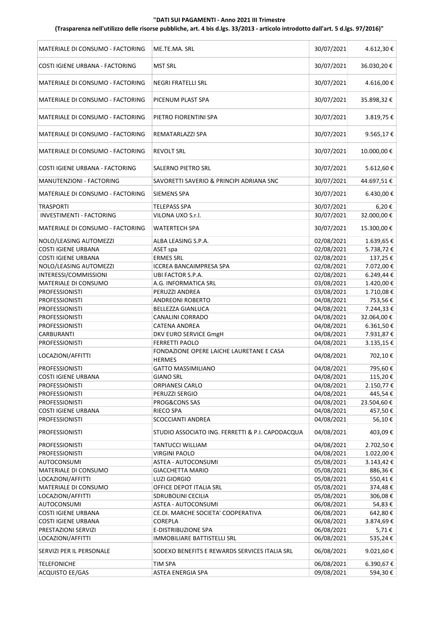| MATERIALE DI CONSUMO - FACTORING | ME.TE.MA. SRL                                             | 30/07/2021 | 4.612,30€   |
|----------------------------------|-----------------------------------------------------------|------------|-------------|
| COSTI IGIENE URBANA - FACTORING  | <b>MST SRL</b>                                            | 30/07/2021 | 36.030,20€  |
| MATERIALE DI CONSUMO - FACTORING | <b>NEGRI FRATELLI SRL</b>                                 | 30/07/2021 | 4.616,00€   |
| MATERIALE DI CONSUMO - FACTORING | PICENUM PLAST SPA                                         | 30/07/2021 | 35.898,32€  |
| MATERIALE DI CONSUMO - FACTORING | PIETRO FIORENTINI SPA                                     | 30/07/2021 | 3.819,75€   |
| MATERIALE DI CONSUMO - FACTORING | REMATARLAZZI SPA                                          | 30/07/2021 | 9.565,17€   |
| MATERIALE DI CONSUMO - FACTORING | <b>REVOLT SRL</b>                                         | 30/07/2021 | 10.000,00€  |
| COSTI IGIENE URBANA - FACTORING  | SALERNO PIETRO SRL                                        | 30/07/2021 | 5.612,60€   |
| MANUTENZIONI - FACTORING         | SAVORETTI SAVERIO & PRINCIPI ADRIANA SNC                  | 30/07/2021 | 44.697,51€  |
| MATERIALE DI CONSUMO - FACTORING | <b>SIEMENS SPA</b>                                        | 30/07/2021 | 6.430,00€   |
| <b>TRASPORTI</b>                 | <b>TELEPASS SPA</b>                                       | 30/07/2021 | 6,20€       |
| <b>INVESTIMENTI - FACTORING</b>  | VILONA UXO S.r.l.                                         | 30/07/2021 | 32.000,00€  |
| MATERIALE DI CONSUMO - FACTORING | WATERTECH SPA                                             | 30/07/2021 | 15.300,00€  |
| NOLO/LEASING AUTOMEZZI           | ALBA LEASING S.P.A.                                       | 02/08/2021 | 1.639,65€   |
| <b>COSTI IGIENE URBANA</b>       | ASET spa                                                  | 02/08/2021 | 5.738,72€   |
| <b>COSTI IGIENE URBANA</b>       | <b>ERMES SRL</b>                                          | 02/08/2021 | 137,25€     |
| NOLO/LEASING AUTOMEZZI           | <b>ICCREA BANCAIMPRESA SPA</b>                            | 02/08/2021 | 7.072,00€   |
|                                  |                                                           | 02/08/2021 |             |
| INTERESSI/COMMISSIONI            | UBI FACTOR S.P.A.                                         |            | 6.249,44€   |
| MATERIALE DI CONSUMO             | A.G. INFORMATICA SRL                                      | 03/08/2021 | 1.420,00€   |
| <b>PROFESSIONISTI</b>            | PERUZZI ANDREA                                            | 03/08/2021 | 1.710,08€   |
| <b>PROFESSIONISTI</b>            | ANDREONI ROBERTO                                          | 04/08/2021 | 753,56€     |
| <b>PROFESSIONISTI</b>            | <b>BELLEZZA GIANLUCA</b>                                  | 04/08/2021 | 7.244,33€   |
| <b>PROFESSIONISTI</b>            | <b>CANALINI CORRADO</b>                                   | 04/08/2021 | 32.064,00€  |
| <b>PROFESSIONISTI</b>            | <b>CATENA ANDREA</b>                                      | 04/08/2021 | 6.361,50€   |
| <b>CARBURANTI</b>                | DKV EURO SERVICE GmgH                                     | 04/08/2021 | 7.931,87€   |
| <b>PROFESSIONISTI</b>            | <b>FERRETTI PAOLO</b>                                     | 04/08/2021 | 3.135,15€   |
| LOCAZIONI/AFFITTI                | FONDAZIONE OPERE LAICHE LAURETANE E CASA<br><b>HERMES</b> | 04/08/2021 | 702,10€     |
| <b>PROFESSIONISTI</b>            | <b>GATTO MASSIMILIANO</b>                                 | 04/08/2021 | 795,60€     |
| COSTI IGIENE URBANA              | <b>GIANO SRL</b>                                          | 04/08/2021 | 115,20€     |
| <b>PROFESSIONISTI</b>            | ORPIANESI CARLO                                           | 04/08/2021 | 2.150,77€   |
| <b>PROFESSIONISTI</b>            | PERUZZI SERGIO                                            | 04/08/2021 | 445,54€     |
| <b>PROFESSIONISTI</b>            | PROG&CONS SAS                                             | 04/08/2021 | 23.504,60 € |
| <b>COSTI IGIENE URBANA</b>       | <b>RIECO SPA</b>                                          | 04/08/2021 | 457,50€     |
| <b>PROFESSIONISTI</b>            | SCOCCIANTI ANDREA                                         | 04/08/2021 | 56,10€      |
| <b>PROFESSIONISTI</b>            | STUDIO ASSOCIATO ING. FERRETTI & P.I. CAPODACQUA          | 04/08/2021 | 403,09€     |
| <b>PROFESSIONISTI</b>            | <b>TANTUCCI WILLIAM</b>                                   | 04/08/2021 | 2.702,50€   |
| <b>PROFESSIONISTI</b>            | <b>VIRGINI PAOLO</b>                                      | 04/08/2021 | 1.022,00€   |
| <b>AUTOCONSUMI</b>               | ASTEA - AUTOCONSUMI                                       | 05/08/2021 | 3.143,42€   |
| MATERIALE DI CONSUMO             | <b>GIACCHETTA MARIO</b>                                   | 05/08/2021 | 886,36€     |
| LOCAZIONI/AFFITTI                | <b>LUZI GIORGIO</b>                                       | 05/08/2021 | 550,41€     |
| MATERIALE DI CONSUMO             | OFFICE DEPOT ITALIA SRL                                   | 05/08/2021 | 374,48€     |
| LOCAZIONI/AFFITTI                | SDRUBOLINI CECILIA                                        | 05/08/2021 | 306,08€     |
| <b>AUTOCONSUMI</b>               | ASTEA - AUTOCONSUMI                                       | 06/08/2021 | 54,83€      |
| <b>COSTI IGIENE URBANA</b>       | CE.DI. MARCHE SOCIETA' COOPERATIVA                        | 06/08/2021 | 642,80€     |
| <b>COSTI IGIENE URBANA</b>       | COREPLA                                                   | 06/08/2021 | 3.874,69€   |
| PRESTAZIONI SERVIZI              | E-DISTRIBUZIONE SPA                                       | 06/08/2021 | 5,71€       |
| LOCAZIONI/AFFITTI                | IMMOBILIARE BATTISTELLI SRL                               | 06/08/2021 | 535,24€     |
| SERVIZI PER IL PERSONALE         | SODEXO BENEFITS E REWARDS SERVICES ITALIA SRL             | 06/08/2021 | 9.021,60€   |
|                                  |                                                           |            |             |
| <b>TELEFONICHE</b>               | TIM SPA                                                   | 06/08/2021 | 6.390,67€   |
| <b>ACQUISTO EE/GAS</b>           | ASTEA ENERGIA SPA                                         | 09/08/2021 | 594,30€     |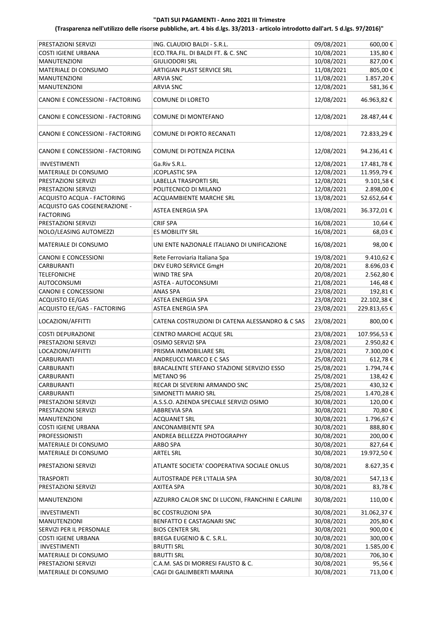| PRESTAZIONI SERVIZI              | ING. CLAUDIO BALDI - S.R.L.                      | 09/08/2021 | 600,00 €    |
|----------------------------------|--------------------------------------------------|------------|-------------|
| <b>COSTI IGIENE URBANA</b>       | ECO.TRA.FIL. DI BALDI FT. & C. SNC               | 10/08/2021 | 135,80€     |
| <b>MANUTENZIONI</b>              | GIULIODORI SRL                                   | 10/08/2021 | 827,00€     |
| MATERIALE DI CONSUMO             | ARTIGIAN PLAST SERVICE SRL                       | 11/08/2021 | 805,00€     |
|                                  |                                                  |            |             |
| <b>MANUTENZIONI</b>              | ARVIA SNC                                        | 11/08/2021 | 1.857,20€   |
| <b>MANUTENZIONI</b>              | <b>ARVIA SNC</b>                                 | 12/08/2021 | 581,36€     |
| CANONI E CONCESSIONI - FACTORING | <b>COMUNE DI LORETO</b>                          | 12/08/2021 | 46.963,82€  |
| CANONI E CONCESSIONI - FACTORING | COMUNE DI MONTEFANO                              | 12/08/2021 | 28.487,44€  |
| CANONI E CONCESSIONI - FACTORING | COMUNE DI PORTO RECANATI                         | 12/08/2021 | 72.833,29€  |
| CANONI E CONCESSIONI - FACTORING | COMUNE DI POTENZA PICENA                         | 12/08/2021 | 94.236,41€  |
| <b>INVESTIMENTI</b>              | Ga.Riv S.R.L.                                    | 12/08/2021 | 17.481,78€  |
| MATERIALE DI CONSUMO             | <b>JCOPLASTIC SPA</b>                            | 12/08/2021 | 11.959,79€  |
| PRESTAZIONI SERVIZI              | LABELLA TRASPORTI SRL                            | 12/08/2021 | 9.101,58€   |
| PRESTAZIONI SERVIZI              | POLITECNICO DI MILANO                            | 12/08/2021 | 2.898,00 €  |
| ACQUISTO ACQUA - FACTORING       | ACQUAMBIENTE MARCHE SRL                          | 13/08/2021 | 52.652,64€  |
| ACQUISTO GAS COGENERAZIONE -     |                                                  |            |             |
| <b>FACTORING</b>                 | ASTEA ENERGIA SPA                                | 13/08/2021 | 36.372,01€  |
| PRESTAZIONI SERVIZI              | <b>CRIF SPA</b>                                  | 16/08/2021 | 10,64€      |
| NOLO/LEASING AUTOMEZZI           | ES MOBILITY SRL                                  | 16/08/2021 | 68,03€      |
| <b>MATERIALE DI CONSUMO</b>      | UNI ENTE NAZIONALE ITALIANO DI UNIFICAZIONE      | 16/08/2021 | 98,00€      |
|                                  |                                                  |            |             |
| <b>CANONI E CONCESSIONI</b>      | Rete Ferroviaria Italiana Spa                    | 19/08/2021 | 9.410,62€   |
| CARBURANTI                       | DKV EURO SERVICE GmgH                            | 20/08/2021 | 8.696,03€   |
| <b>TELEFONICHE</b>               | WIND TRE SPA                                     | 20/08/2021 | 2.562,80€   |
| <b>AUTOCONSUMI</b>               | ASTEA - AUTOCONSUMI                              | 21/08/2021 | 146,48€     |
| <b>CANONI E CONCESSIONI</b>      | ANAS SPA                                         | 23/08/2021 | 192,81€     |
| <b>ACQUISTO EE/GAS</b>           | ASTEA ENERGIA SPA                                | 23/08/2021 | 22.102,38€  |
| ACQUISTO EE/GAS - FACTORING      | ASTEA ENERGIA SPA                                | 23/08/2021 | 229.813,65€ |
| LOCAZIONI/AFFITTI                | CATENA COSTRUZIONI DI CATENA ALESSANDRO & C SAS  | 23/08/2021 | 800,00€     |
| <b>COSTI DEPURAZIONE</b>         | <b>CENTRO MARCHE ACQUE SRL</b>                   | 23/08/2021 | 107.956,53€ |
| PRESTAZIONI SERVIZI              | OSIMO SERVIZI SPA                                | 23/08/2021 | 2.950,82€   |
| LOCAZIONI/AFFITTI                | PRISMA IMMOBILIARE SRL                           | 23/08/2021 | 7.300,00 €  |
| CARBURANTI                       | ANDREUCCI MARCO E C SAS                          | 25/08/2021 | 612,78€     |
| CARBURANTI                       | BRACALENTE STEFANO STAZIONE SERVIZIO ESSO        | 25/08/2021 | 1.794,74€   |
| CARBURANTI                       | METANO 96                                        | 25/08/2021 | 138,42€     |
| <b>CARBURANTI</b>                | RECAR DI SEVERINI ARMANDO SNC                    | 25/08/2021 | 430,32€     |
| <b>CARBURANTI</b>                | SIMONETTI MARIO SRL                              | 25/08/2021 | 1.470,28€   |
|                                  |                                                  | 30/08/2021 |             |
| PRESTAZIONI SERVIZI              | A.S.S.O. AZIENDA SPECIALE SERVIZI OSIMO          |            | 120,00€     |
| PRESTAZIONI SERVIZI              | <b>ABBREVIA SPA</b>                              | 30/08/2021 | 70,80€      |
| <b>MANUTENZIONI</b>              | <b>ACQUANET SRL</b>                              | 30/08/2021 | 1.796,67€   |
| <b>COSTI IGIENE URBANA</b>       | ANCONAMBIENTE SPA                                | 30/08/2021 | 888,80€     |
| <b>PROFESSIONISTI</b>            | ANDREA BELLEZZA PHOTOGRAPHY                      | 30/08/2021 | 200,00€     |
| MATERIALE DI CONSUMO             | <b>ARBO SPA</b>                                  | 30/08/2021 | 827,64€     |
| MATERIALE DI CONSUMO             | <b>ARTEL SRL</b>                                 | 30/08/2021 | 19.972,50€  |
| PRESTAZIONI SERVIZI              | ATLANTE SOCIETA' COOPERATIVA SOCIALE ONLUS       | 30/08/2021 | 8.627,35 €  |
| <b>TRASPORTI</b>                 | AUTOSTRADE PER L'ITALIA SPA                      | 30/08/2021 | 547,13€     |
| PRESTAZIONI SERVIZI              | <b>AXITEA SPA</b>                                | 30/08/2021 | 83,78€      |
| <b>MANUTENZIONI</b>              | AZZURRO CALOR SNC DI LUCONI, FRANCHINI E CARLINI | 30/08/2021 | 110,00€     |
| INVESTIMENTI                     | <b>BC COSTRUZIONI SPA</b>                        | 30/08/2021 | 31.062,37€  |
| <b>MANUTENZIONI</b>              | BENFATTO E CASTAGNARI SNC                        | 30/08/2021 | 205,80€     |
| SERVIZI PER IL PERSONALE         | <b>BIOS CENTER SRL</b>                           | 30/08/2021 | 900,00€     |
| <b>COSTI IGIENE URBANA</b>       | BREGA EUGENIO & C. S.R.L.                        | 30/08/2021 | 300,00€     |
| <b>INVESTIMENTI</b>              | <b>BRUTTI SRL</b>                                | 30/08/2021 | 1.585,00€   |
| MATERIALE DI CONSUMO             | <b>BRUTTI SRL</b>                                | 30/08/2021 | 706,30€     |
| PRESTAZIONI SERVIZI              | C.A.M. SAS DI MORRESI FAUSTO & C.                | 30/08/2021 | 95,56€      |
| MATERIALE DI CONSUMO             | CAGI DI GALIMBERTI MARINA                        | 30/08/2021 | 713,00€     |
|                                  |                                                  |            |             |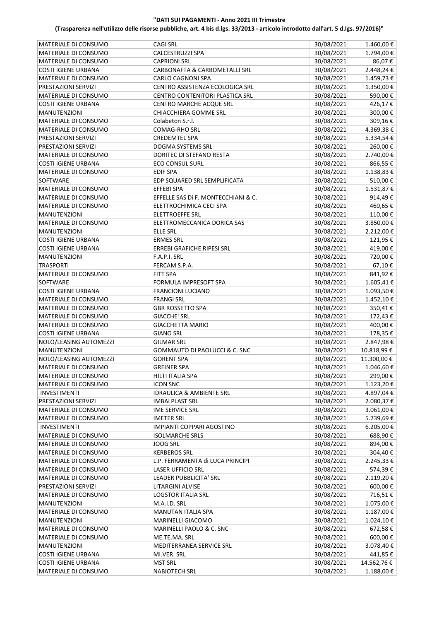| MATERIALE DI CONSUMO       | <b>CAGI SRL</b>                     | 30/08/2021 | 1.460,00 € |
|----------------------------|-------------------------------------|------------|------------|
| MATERIALE DI CONSUMO       | CALCESTRUZZI SPA                    | 30/08/2021 | 1.794,00€  |
| MATERIALE DI CONSUMO       | <b>CAPRIONI SRL</b>                 | 30/08/2021 | 86,07€     |
| <b>COSTI IGIENE URBANA</b> | CARBONAFTA & CARBOMETALLI SRL       | 30/08/2021 | 2.448,24€  |
| MATERIALE DI CONSUMO       | CARLO CAGNONI SPA                   | 30/08/2021 | 1.459,73€  |
| PRESTAZIONI SERVIZI        | CENTRO ASSISTENZA ECOLOGICA SRL     | 30/08/2021 | 1.350,00€  |
| MATERIALE DI CONSUMO       | CENTRO CONTENITORI PLASTICA SRL     | 30/08/2021 | 590,00€    |
| <b>COSTI IGIENE URBANA</b> | CENTRO MARCHE ACQUE SRL             | 30/08/2021 | 426,17€    |
| <b>MANUTENZIONI</b>        | CHIACCHIERA GOMME SRL               | 30/08/2021 | 300,00€    |
| MATERIALE DI CONSUMO       | Colabeton S.r.l.                    | 30/08/2021 | 309,16€    |
| MATERIALE DI CONSUMO       | <b>COMAG-RHO SRL</b>                | 30/08/2021 | 4.369,38€  |
| PRESTAZIONI SERVIZI        | <b>CREDEMTEL SPA</b>                | 30/08/2021 | 5.334,54€  |
|                            |                                     |            |            |
| PRESTAZIONI SERVIZI        | DOGMA SYSTEMS SRL                   | 30/08/2021 | 260,00€    |
| MATERIALE DI CONSUMO       | DORITEC DI STEFANO RESTA            | 30/08/2021 | 2.740,00€  |
| <b>COSTI IGIENE URBANA</b> | <b>ECO CONSUL SURL</b>              | 30/08/2021 | 866,55€    |
| MATERIALE DI CONSUMO       | <b>EDIF SPA</b>                     | 30/08/2021 | 1.138,83€  |
| SOFTWARE                   | EDP SQUARED SRL SEMPLIFICATA        | 30/08/2021 | 510,00€    |
| MATERIALE DI CONSUMO       | EFFEBI SPA                          | 30/08/2021 | 1.531,87€  |
| MATERIALE DI CONSUMO       | EFFELLE SAS Di F. MONTECCHIANI & C. | 30/08/2021 | 914,49€    |
| MATERIALE DI CONSUMO       | ELETTROCHIMICA CECI SPA             | 30/08/2021 | 460,65€    |
| <b>MANUTENZIONI</b>        | ELETTROEFFE SRL                     | 30/08/2021 | 110,00€    |
| MATERIALE DI CONSUMO       | ELETTROMECCANICA DORICA SAS         | 30/08/2021 | 3.850,00€  |
| <b>MANUTENZIONI</b>        | <b>ELLE SRL</b>                     | 30/08/2021 | 2.212,00€  |
| <b>COSTI IGIENE URBANA</b> | <b>ERMES SRL</b>                    | 30/08/2021 | 121,95€    |
| <b>COSTI IGIENE URBANA</b> | ERREBI GRAFICHE RIPESI SRL          | 30/08/2021 | 419,00€    |
| <b>MANUTENZIONI</b>        | F.A.P.I. SRL                        | 30/08/2021 | 720,00€    |
| <b>TRASPORTI</b>           | FERCAM S.P.A.                       | 30/08/2021 | 67,10€     |
| MATERIALE DI CONSUMO       | <b>FITT SPA</b>                     | 30/08/2021 | 841,92€    |
| SOFTWARE                   | FORMULA IMPRESOFT SPA               | 30/08/2021 | 1.605,41€  |
| <b>COSTI IGIENE URBANA</b> | <b>FRANCIONI LUCIANO</b>            | 30/08/2021 | 1.093,50€  |
| MATERIALE DI CONSUMO       | <b>FRANGI SRL</b>                   | 30/08/2021 | 1.452,10€  |
| MATERIALE DI CONSUMO       | <b>GBR ROSSETTO SPA</b>             | 30/08/2021 | 350,41€    |
| MATERIALE DI CONSUMO       | <b>GIACCHE' SRL</b>                 | 30/08/2021 | 172,43€    |
|                            |                                     |            |            |
| MATERIALE DI CONSUMO       | <b>GIACCHETTA MARIO</b>             | 30/08/2021 | 400,00€    |
| <b>COSTI IGIENE URBANA</b> | <b>GIANO SRL</b>                    | 30/08/2021 | 178,35€    |
| NOLO/LEASING AUTOMEZZI     | <b>GILMAR SRL</b>                   | 30/08/2021 | 2.847,98€  |
| <b>MANUTENZIONI</b>        | GOMMAUTO DI PAOLUCCI & C. SNC       | 30/08/2021 | 10.818,99€ |
| NOLO/LEASING AUTOMEZZI     | <b>GORENT SPA</b>                   | 30/08/2021 | 11.300,00€ |
| MATERIALE DI CONSUMO       | <b>GREINER SPA</b>                  | 30/08/2021 | 1.046,60€  |
| MATERIALE DI CONSUMO       | HILTI ITALIA SPA                    | 30/08/2021 | 299,00€    |
| MATERIALE DI CONSUMO       | <b>ICON SNC</b>                     | 30/08/2021 | 1.123,20€  |
| INVESTIMENTI               | <b>IDRAULICA &amp; AMBIENTE SRL</b> | 30/08/2021 | 4.897,04 € |
| PRESTAZIONI SERVIZI        | <b>IMBALPLAST SRL</b>               | 30/08/2021 | 2.080,37€  |
| MATERIALE DI CONSUMO       | IME SERVICE SRL                     | 30/08/2021 | 3.061,00€  |
| MATERIALE DI CONSUMO       | IMETER SRL                          | 30/08/2021 | 5.739,69€  |
| INVESTIMENTI               | <b>IMPIANTI COPPARI AGOSTINO</b>    | 30/08/2021 | 6.205,00€  |
| MATERIALE DI CONSUMO       | <b>ISOLMARCHE SRLS</b>              | 30/08/2021 | 688,90€    |
| MATERIALE DI CONSUMO       | <b>JOOG SRL</b>                     | 30/08/2021 | 894,00€    |
| MATERIALE DI CONSUMO       | <b>KERBEROS SRL</b>                 | 30/08/2021 | 304,40€    |
| MATERIALE DI CONSUMO       | L.P. FERRAMENTA di LUCA PRINCIPI    | 30/08/2021 | 2.245,33 € |
| MATERIALE DI CONSUMO       | <b>LASER UFFICIO SRL</b>            | 30/08/2021 | 574,39€    |
| MATERIALE DI CONSUMO       | LEADER PUBBLICITA' SRL              | 30/08/2021 | 2.119,20€  |
| PRESTAZIONI SERVIZI        | LITARGINI ALVISE                    | 30/08/2021 | 600,00€    |
| MATERIALE DI CONSUMO       | LOGSTOR ITALIA SRL                  | 30/08/2021 | 716,51€    |
| <b>MANUTENZIONI</b>        | M.A.I.D. SRL                        | 30/08/2021 | 1.075,00€  |
| MATERIALE DI CONSUMO       | MANUTAN ITALIA SPA                  | 30/08/2021 | 1.187,00€  |
|                            |                                     |            |            |
| <b>MANUTENZIONI</b>        | MARINELLI GIACOMO                   | 30/08/2021 | 1.024,10€  |
| MATERIALE DI CONSUMO       | MARINELLI PAOLO & C. SNC            | 30/08/2021 | 672,58€    |
| MATERIALE DI CONSUMO       | ME.TE.MA. SRL                       | 30/08/2021 | 600,00€    |
| <b>MANUTENZIONI</b>        | MEDITERRANEA SERVICE SRL            | 30/08/2021 | 3.078,40€  |
| <b>COSTI IGIENE URBANA</b> | MI.VER. SRL                         | 30/08/2021 | 441,85€    |
| <b>COSTI IGIENE URBANA</b> | <b>MST SRL</b>                      | 30/08/2021 | 14.562,76€ |
| MATERIALE DI CONSUMO       | <b>NABIOTECH SRL</b>                | 30/08/2021 | 1.188,00 € |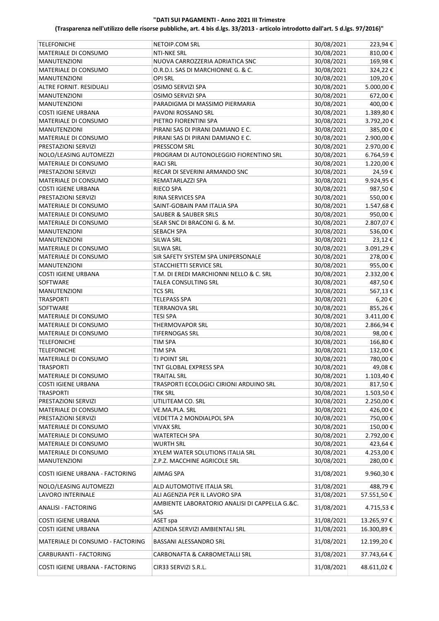| <b>TELEFONICHE</b>               | NETOIP.COM SRL                                                                  | 30/08/2021 | 223,94€     |
|----------------------------------|---------------------------------------------------------------------------------|------------|-------------|
| MATERIALE DI CONSUMO             | <b>NTI-NKE SRL</b>                                                              | 30/08/2021 | 810,00€     |
| <b>MANUTENZIONI</b>              | NUOVA CARROZZERIA ADRIATICA SNC                                                 | 30/08/2021 | 169,98€     |
| MATERIALE DI CONSUMO             | O.R.D.I. SAS DI MARCHIONNE G. & C.                                              | 30/08/2021 | 324,22€     |
| <b>MANUTENZIONI</b>              | <b>OPI SRL</b>                                                                  | 30/08/2021 | 109,20€     |
| ALTRE FORNIT. RESIDUALI          | OSIMO SERVIZI SPA                                                               | 30/08/2021 | 5.000,00€   |
| <b>MANUTENZIONI</b>              | OSIMO SERVIZI SPA                                                               | 30/08/2021 | 672,00€     |
| <b>MANUTENZIONI</b>              | PARADIGMA DI MASSIMO PIERMARIA                                                  | 30/08/2021 | 400,00€     |
| <b>COSTI IGIENE URBANA</b>       | PAVONI ROSSANO SRL                                                              | 30/08/2021 | 1.389,80€   |
| MATERIALE DI CONSUMO             | PIETRO FIORENTINI SPA                                                           | 30/08/2021 | 3.792,20€   |
| <b>MANUTENZIONI</b>              | PIRANI SAS DI PIRANI DAMIANO E C.                                               | 30/08/2021 | 385,00€     |
|                                  |                                                                                 |            |             |
| MATERIALE DI CONSUMO             | PIRANI SAS DI PIRANI DAMIANO E C.                                               | 30/08/2021 | 2.900,00 €  |
| PRESTAZIONI SERVIZI              | PRESSCOM SRL                                                                    | 30/08/2021 | 2.970,00 €  |
| NOLO/LEASING AUTOMEZZI           | PROGRAM DI AUTONOLEGGIO FIORENTINO SRL                                          | 30/08/2021 | 6.764,59€   |
| MATERIALE DI CONSUMO             | <b>RACI SRL</b>                                                                 | 30/08/2021 | 1.220,00 €  |
| PRESTAZIONI SERVIZI              | RECAR DI SEVERINI ARMANDO SNC                                                   | 30/08/2021 | 24,59€      |
| MATERIALE DI CONSUMO             | REMATARLAZZI SPA                                                                | 30/08/2021 | 9.924,95€   |
| <b>COSTI IGIENE URBANA</b>       | RIECO SPA                                                                       | 30/08/2021 | 987,50€     |
| PRESTAZIONI SERVIZI              | RINA SERVICES SPA                                                               | 30/08/2021 | 550,00€     |
| MATERIALE DI CONSUMO             | SAINT-GOBAIN PAM ITALIA SPA                                                     | 30/08/2021 | 1.547,68€   |
| MATERIALE DI CONSUMO             | <b>SAUBER &amp; SAUBER SRLS</b>                                                 | 30/08/2021 | 950,00€     |
| MATERIALE DI CONSUMO             | SEAR SNC DI BRACONI G. & M.                                                     | 30/08/2021 | 2.807,07€   |
| <b>MANUTENZIONI</b>              | SEBACH SPA                                                                      | 30/08/2021 | 536,00€     |
| <b>MANUTENZIONI</b>              | <b>SILWA SRL</b>                                                                | 30/08/2021 | 23,12€      |
| MATERIALE DI CONSUMO             | <b>SILWA SRL</b>                                                                | 30/08/2021 | 3.091,29€   |
| MATERIALE DI CONSUMO             | SIR SAFETY SYSTEM SPA UNIPERSONALE                                              | 30/08/2021 | 278,00€     |
| <b>MANUTENZIONI</b>              | STACCHIETTI SERVICE SRL                                                         | 30/08/2021 | 955,00€     |
| <b>COSTI IGIENE URBANA</b>       | T.M. DI EREDI MARCHIONNI NELLO & C. SRL                                         | 30/08/2021 | 2.332,00 €  |
| SOFTWARE                         | TALEA CONSULTING SRL                                                            | 30/08/2021 | 487,50€     |
| <b>MANUTENZIONI</b>              | <b>TCS SRL</b>                                                                  | 30/08/2021 | 567,13€     |
|                                  |                                                                                 |            |             |
| <b>TRASPORTI</b>                 | TELEPASS SPA                                                                    | 30/08/2021 | 6,20€       |
| SOFTWARE                         | TERRANOVA SRL                                                                   | 30/08/2021 | 855,26€     |
| MATERIALE DI CONSUMO             | TESI SPA                                                                        | 30/08/2021 | 3.411,00 €  |
| MATERIALE DI CONSUMO             | THERMOVAPOR SRL                                                                 | 30/08/2021 | 2.866,94€   |
| MATERIALE DI CONSUMO             | <b>TIFERNOGAS SRL</b>                                                           | 30/08/2021 | 98,00€      |
| <b>TELEFONICHE</b>               | <b>TIM SPA</b>                                                                  | 30/08/2021 | 166,80€     |
| <b>TELEFONICHE</b>               | TIM SPA                                                                         | 30/08/2021 | 132,00€     |
| MATERIALE DI CONSUMO             | <b>TJ POINT SRL</b>                                                             | 30/08/2021 | 780,00€     |
| <b>TRASPORTI</b>                 | TNT GLOBAL EXPRESS SPA                                                          | 30/08/2021 | 49,08€      |
| MATERIALE DI CONSUMO             | <b>TRAITAL SRL</b>                                                              | 30/08/2021 | 1.103,40€   |
| <b>COSTI IGIENE URBANA</b>       | TRASPORTI ECOLOGICI CIRIONI ARDUINO SRL                                         | 30/08/2021 | 817,50€     |
| <b>TRASPORTI</b>                 | TRK SRL                                                                         | 30/08/2021 | 1.503,50€   |
| PRESTAZIONI SERVIZI              | UTILITEAM CO. SRL                                                               | 30/08/2021 | 2.250,00 €  |
| MATERIALE DI CONSUMO             | VE.MA.PLA. SRL                                                                  | 30/08/2021 | 426,00€     |
| PRESTAZIONI SERVIZI              | VEDETTA 2 MONDIALPOL SPA                                                        | 30/08/2021 | 750,00€     |
| MATERIALE DI CONSUMO             | VIVAX SRL                                                                       | 30/08/2021 | 150,00€     |
| MATERIALE DI CONSUMO             | <b>WATERTECH SPA</b>                                                            | 30/08/2021 | 2.792,00€   |
| MATERIALE DI CONSUMO             | <b>WURTH SRL</b>                                                                | 30/08/2021 | 423,64 €    |
| MATERIALE DI CONSUMO             | XYLEM WATER SOLUTIONS ITALIA SRL                                                | 30/08/2021 | 4.253,00 €  |
| <b>MANUTENZIONI</b>              | Z.P.Z. MACCHINE AGRICOLE SRL                                                    | 30/08/2021 | 280,00€     |
| COSTI IGIENE URBANA - FACTORING  | AIMAG SPA                                                                       | 31/08/2021 | 9.960,30€   |
| NOLO/LEASING AUTOMEZZI           | ALD AUTOMOTIVE ITALIA SRL                                                       | 31/08/2021 | 488,79€     |
|                                  |                                                                                 |            |             |
| LAVORO INTERINALE                | ALI AGENZIA PER IL LAVORO SPA<br>AMBIENTE LABORATORIO ANALISI DI CAPPELLA G.&C. | 31/08/2021 | 57.551,50€  |
| <b>ANALISI - FACTORING</b>       | SAS                                                                             | 31/08/2021 | 4.715,53€   |
| <b>COSTI IGIENE URBANA</b>       | ASET spa                                                                        | 31/08/2021 | 13.265,97€  |
| <b>COSTI IGIENE URBANA</b>       | AZIENDA SERVIZI AMBIENTALI SRL                                                  | 31/08/2021 | 16.300,89€  |
| MATERIALE DI CONSUMO - FACTORING | BASSANI ALESSANDRO SRL                                                          | 31/08/2021 | 12.199,20€  |
| CARBURANTI - FACTORING           | CARBONAFTA & CARBOMETALLI SRL                                                   | 31/08/2021 | 37.743,64 € |
| COSTI IGIENE URBANA - FACTORING  | CIR33 SERVIZI S.R.L.                                                            | 31/08/2021 | 48.611,02€  |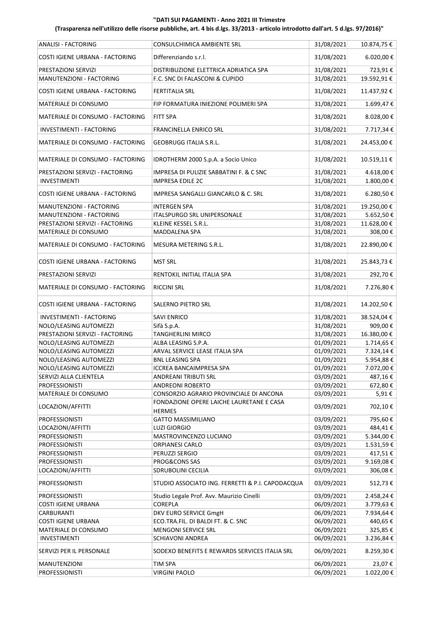| <b>ANALISI - FACTORING</b>       | CONSULCHIMICA AMBIENTE SRL                                | 31/08/2021 | 10.874,75 € |
|----------------------------------|-----------------------------------------------------------|------------|-------------|
| COSTI IGIENE URBANA - FACTORING  | Differenziando s.r.l.                                     | 31/08/2021 | 6.020,00€   |
| PRESTAZIONI SERVIZI              | DISTRIBUZIONE ELETTRICA ADRIATICA SPA                     | 31/08/2021 | 723,91€     |
| MANUTENZIONI - FACTORING         | F.C. SNC DI FALASCONI & CUPIDO                            | 31/08/2021 | 19.592,91€  |
| COSTI IGIENE URBANA - FACTORING  | <b>FERTITALIA SRL</b>                                     | 31/08/2021 | 11.437,92€  |
| MATERIALE DI CONSUMO             | FIP FORMATURA INIEZIONE POLIMERI SPA                      | 31/08/2021 | 1.699,47€   |
| MATERIALE DI CONSUMO - FACTORING | <b>FITT SPA</b>                                           | 31/08/2021 | 8.028,00€   |
| INVESTIMENTI - FACTORING         | <b>FRANCINELLA ENRICO SRL</b>                             | 31/08/2021 | 7.717,34€   |
| MATERIALE DI CONSUMO - FACTORING | <b>GEOBRUGG ITALIA S.R.L.</b>                             | 31/08/2021 | 24.453,00 € |
| MATERIALE DI CONSUMO - FACTORING | IDROTHERM 2000 S.p.A. a Socio Unico                       | 31/08/2021 | 10.519,11€  |
| PRESTAZIONI SERVIZI - FACTORING  | IMPRESA DI PULIZIE SABBATINI F. & C SNC                   | 31/08/2021 | 4.618,00 €  |
| <b>INVESTIMENTI</b>              | <b>IMPRESA EDILE 2C</b>                                   | 31/08/2021 | 1.800,00€   |
| COSTI IGIENE URBANA - FACTORING  | IMPRESA SANGALLI GIANCARLO & C. SRL                       | 31/08/2021 | 6.280,50€   |
| MANUTENZIONI - FACTORING         | <b>INTERGEN SPA</b>                                       | 31/08/2021 | 19.250,00€  |
| MANUTENZIONI - FACTORING         | ITALSPURGO SRL UNIPERSONALE                               | 31/08/2021 | 5.652,50€   |
| PRESTAZIONI SERVIZI - FACTORING  | KLEINE KESSEL S.R.L.                                      | 31/08/2021 | 11.628,00€  |
| MATERIALE DI CONSUMO             | MADDALENA SPA                                             | 31/08/2021 | 308,00€     |
| MATERIALE DI CONSUMO - FACTORING | MESURA METERING S.R.L.                                    | 31/08/2021 | 22.890,00€  |
| COSTI IGIENE URBANA - FACTORING  | <b>MST SRL</b>                                            | 31/08/2021 | 25.843,73€  |
| PRESTAZIONI SERVIZI              | RENTOKIL INITIAL ITALIA SPA                               | 31/08/2021 | 292,70€     |
| MATERIALE DI CONSUMO - FACTORING | <b>RICCINI SRL</b>                                        | 31/08/2021 | 7.276,80€   |
| COSTI IGIENE URBANA - FACTORING  | SALERNO PIETRO SRL                                        | 31/08/2021 | 14.202,50€  |
| INVESTIMENTI - FACTORING         | SAVI ENRICO                                               | 31/08/2021 | 38.524,04€  |
| NOLO/LEASING AUTOMEZZI           | Sifà S.p.A.                                               | 31/08/2021 | 909,00€     |
| PRESTAZIONI SERVIZI - FACTORING  | <b>TANGHERLINI MIRCO</b>                                  | 31/08/2021 | 16.380,00€  |
| NOLO/LEASING AUTOMEZZI           | ALBA LEASING S.P.A.                                       | 01/09/2021 | 1.714,65 €  |
| NOLO/LEASING AUTOMEZZI           | ARVAL SERVICE LEASE ITALIA SPA                            | 01/09/2021 | 7.324,14€   |
| NOLO/LEASING AUTOMEZZI           | <b>BNL LEASING SPA</b>                                    | 01/09/2021 | 5.954,88€   |
| NOLO/LEASING AUTOMEZZI           | <b>ICCREA BANCAIMPRESA SPA</b>                            | 01/09/2021 | 7.072,00 €  |
| SERVIZI ALLA CLIENTELA           | ANDREANI TRIBUTI SRL                                      | 03/09/2021 | 487,16€     |
| <b>PROFESSIONISTI</b>            | <b>ANDREONI ROBERTO</b>                                   | 03/09/2021 | 672,80€     |
| MATERIALE DI CONSUMO             | CONSORZIO AGRARIO PROVINCIALE DI ANCONA                   | 03/09/2021 | 5,91€       |
| LOCAZIONI/AFFITTI                | FONDAZIONE OPERE LAICHE LAURETANE E CASA<br><b>HERMES</b> | 03/09/2021 | 702,10€     |
| <b>PROFESSIONISTI</b>            | <b>GATTO MASSIMILIANO</b>                                 | 03/09/2021 | 795,60€     |
| LOCAZIONI/AFFITTI                | <b>LUZI GIORGIO</b>                                       | 03/09/2021 | 484,41€     |
| <b>PROFESSIONISTI</b>            | MASTROVINCENZO LUCIANO                                    | 03/09/2021 | 5.344,00 €  |
| <b>PROFESSIONISTI</b>            | ORPIANESI CARLO                                           | 03/09/2021 | 1.531,59€   |
| <b>PROFESSIONISTI</b>            | PERUZZI SERGIO                                            | 03/09/2021 | 417,51€     |
| <b>PROFESSIONISTI</b>            | PROG&CONS SAS                                             | 03/09/2021 | 9.169,08€   |
| LOCAZIONI/AFFITTI                | SDRUBOLINI CECILIA                                        | 03/09/2021 | 306,08€     |
| <b>PROFESSIONISTI</b>            | STUDIO ASSOCIATO ING. FERRETTI & P.I. CAPODACQUA          | 03/09/2021 | 512,73€     |
| <b>PROFESSIONISTI</b>            | Studio Legale Prof. Avv. Maurizio Cinelli                 | 03/09/2021 | 2.458,24 €  |
| <b>COSTI IGIENE URBANA</b>       | <b>COREPLA</b>                                            | 06/09/2021 | 3.779,63€   |
| CARBURANTI                       | DKV EURO SERVICE GmgH                                     | 06/09/2021 | 7.934,64 €  |
| <b>COSTI IGIENE URBANA</b>       | ECO.TRA.FIL. DI BALDI FT. & C. SNC                        | 06/09/2021 | 440,65 €    |
| MATERIALE DI CONSUMO             | <b>MENGONI SERVICE SRL</b>                                | 06/09/2021 | 325,85€     |
| INVESTIMENTI                     | SCHIAVONI ANDREA                                          | 06/09/2021 | 3.236,84€   |
| SERVIZI PER IL PERSONALE         | SODEXO BENEFITS E REWARDS SERVICES ITALIA SRL             | 06/09/2021 | 8.259,30€   |
| <b>MANUTENZIONI</b>              | TIM SPA                                                   | 06/09/2021 | 23,07€      |
| <b>PROFESSIONISTI</b>            | <b>VIRGINI PAOLO</b>                                      | 06/09/2021 | 1.022,00 €  |
|                                  |                                                           |            |             |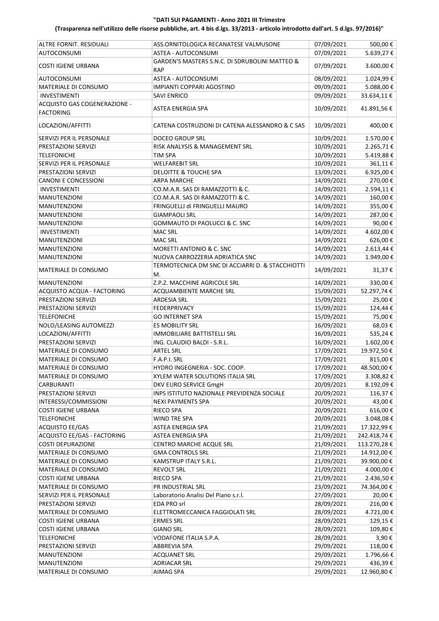| ALTRE FORNIT. RESIDUALI      | ASS.ORNITOLOGICA RECANATESE VALMUSONE                        | 07/09/2021 | 500,00€        |
|------------------------------|--------------------------------------------------------------|------------|----------------|
| <b>AUTOCONSUMI</b>           | ASTEA - AUTOCONSUMI                                          | 07/09/2021 | 5.639,27€      |
| <b>COSTI IGIENE URBANA</b>   | GARDEN'S MASTERS S.N.C. DI SDRUBOLINI MATTEO &<br><b>RAP</b> | 07/09/2021 | 3.600,00€      |
| <b>AUTOCONSUMI</b>           | ASTEA - AUTOCONSUMI                                          | 08/09/2021 | 1.024,99€      |
| MATERIALE DI CONSUMO         | IMPIANTI COPPARI AGOSTINO                                    | 09/09/2021 | 5.088,00 €     |
| <b>INVESTIMENTI</b>          | <b>SAVI ENRICO</b>                                           | 09/09/2021 | 33.634,11€     |
| ACQUISTO GAS COGENERAZIONE - |                                                              |            |                |
| <b>FACTORING</b>             | ASTEA ENERGIA SPA                                            | 10/09/2021 | 41.891,56€     |
| LOCAZIONI/AFFITTI            | CATENA COSTRUZIONI DI CATENA ALESSANDRO & C SAS              | 10/09/2021 | 400,00€        |
| SERVIZI PER IL PERSONALE     | <b>DOCEO GROUP SRL</b>                                       | 10/09/2021 | 1.570,00€      |
| PRESTAZIONI SERVIZI          | RISK ANALYSIS & MANAGEMENT SRL                               | 10/09/2021 | 2.265,71€      |
|                              |                                                              |            |                |
| <b>TELEFONICHE</b>           | <b>TIM SPA</b>                                               | 10/09/2021 | 5.419,88€      |
| SERVIZI PER IL PERSONALE     | <b>WELFAREBIT SRL</b>                                        | 10/09/2021 | 361,11€        |
| PRESTAZIONI SERVIZI          | <b>DELOITTE &amp; TOUCHE SPA</b>                             | 13/09/2021 | 6.925,00 €     |
| <b>CANONI E CONCESSIONI</b>  | <b>ARPA MARCHE</b>                                           | 14/09/2021 | 270,00€        |
| <b>INVESTIMENTI</b>          | CO.M.A.R. SAS DI RAMAZZOTTI & C.                             | 14/09/2021 | 2.594,11€      |
| <b>MANUTENZIONI</b>          | CO.M.A.R. SAS DI RAMAZZOTTI & C.                             | 14/09/2021 | 160,00€        |
| <b>MANUTENZIONI</b>          | FRINGUELLI di FRINGUELLI MAURO                               | 14/09/2021 | 355,00€        |
| <b>MANUTENZIONI</b>          | <b>GIAMPAOLI SRL</b>                                         | 14/09/2021 | 287,00€        |
| <b>MANUTENZIONI</b>          | GOMMAUTO DI PAOLUCCI & C. SNC                                | 14/09/2021 | 90,00€         |
| <b>INVESTIMENTI</b>          | <b>MAC SRL</b>                                               | 14/09/2021 | 4.602,00 €     |
| <b>MANUTENZIONI</b>          | <b>MAC SRL</b>                                               | 14/09/2021 | 626,00€        |
| <b>MANUTENZIONI</b>          | <b>MORETTI ANTONIO &amp; C. SNC</b>                          | 14/09/2021 | $2.613,44 \t€$ |
| <b>MANUTENZIONI</b>          | NUOVA CARROZZERIA ADRIATICA SNC                              | 14/09/2021 | 1.949,00€      |
| MATERIALE DI CONSUMO         | TERMOTECNICA DM SNC DI ACCIARRI D. & STACCHIOTTI             | 14/09/2021 | 31,37€         |
|                              | М.                                                           |            |                |
| <b>MANUTENZIONI</b>          | Z.P.Z. MACCHINE AGRICOLE SRL                                 | 14/09/2021 | 330,00€        |
| ACQUISTO ACQUA - FACTORING   | ACQUAMBIENTE MARCHE SRL                                      | 15/09/2021 | 52.297,74€     |
| PRESTAZIONI SERVIZI          | <b>ARDESIA SRL</b>                                           | 15/09/2021 | 25,00€         |
| PRESTAZIONI SERVIZI          | <b>FEDERPRIVACY</b>                                          | 15/09/2021 | 124,44 €       |
| <b>TELEFONICHE</b>           | <b>GO INTERNET SPA</b>                                       | 15/09/2021 | 75,00€         |
| NOLO/LEASING AUTOMEZZI       | <b>ES MOBILITY SRL</b>                                       | 16/09/2021 | 68,03€         |
| LOCAZIONI/AFFITTI            | IMMOBILIARE BATTISTELLI SRL                                  | 16/09/2021 | 535,24€        |
| PRESTAZIONI SERVIZI          | ING. CLAUDIO BALDI - S.R.L.                                  | 16/09/2021 | 1.602,00€      |
| MATERIALE DI CONSUMO         | <b>ARTEL SRL</b>                                             | 17/09/2021 | 19.972,50€     |
| MATERIALE DI CONSUMO         | F.A.P.I. SRL                                                 | 17/09/2021 | 815,00€        |
| MATERIALE DI CONSUMO         | HYDRO INGEGNERIA - SOC. COOP.                                | 17/09/2021 | 48.500,00 €    |
| MATERIALE DI CONSUMO         | XYLEM WATER SOLUTIONS ITALIA SRL                             | 17/09/2021 | 3.308,82€      |
|                              |                                                              |            |                |
| CARBURANTI                   | DKV EURO SERVICE GmgH                                        | 20/09/2021 | 8.192,09€      |
| PRESTAZIONI SERVIZI          | INPS ISTITUTO NAZIONALE PREVIDENZA SOCIALE                   | 20/09/2021 | 116,37€        |
| INTERESSI/COMMISSIONI        | NEXI PAYMENTS SPA                                            | 20/09/2021 | 43,00€         |
| <b>COSTI IGIENE URBANA</b>   | RIECO SPA                                                    | 20/09/2021 | 616,00€        |
| <b>TELEFONICHE</b>           | WIND TRE SPA                                                 | 20/09/2021 | 3.048,08€      |
| <b>ACQUISTO EE/GAS</b>       | ASTEA ENERGIA SPA                                            | 21/09/2021 | 17.322,99€     |
| ACQUISTO EE/GAS - FACTORING  | ASTEA ENERGIA SPA                                            | 21/09/2021 | 242.418,74€    |
| <b>COSTI DEPURAZIONE</b>     | CENTRO MARCHE ACQUE SRL                                      | 21/09/2021 | 113.270,28€    |
| MATERIALE DI CONSUMO         | <b>GMA CONTROLS SRL</b>                                      | 21/09/2021 | 14.912,00 €    |
| MATERIALE DI CONSUMO         | KAMSTRUP ITALY S.R.L.                                        | 21/09/2021 | 39.900,00 €    |
| MATERIALE DI CONSUMO         | REVOLT SRL                                                   | 21/09/2021 | 4.000,00 €     |
| <b>COSTI IGIENE URBANA</b>   | RIECO SPA                                                    | 21/09/2021 | 2.436,50€      |
| MATERIALE DI CONSUMO         | PR INDUSTRIAL SRL                                            | 23/09/2021 | 74.364,00 €    |
| SERVIZI PER IL PERSONALE     | Laboratorio Analisi Del Piano s.r.l.                         | 27/09/2021 | 20,00€         |
|                              |                                                              |            |                |
| PRESTAZIONI SERVIZI          | EDA PRO srl                                                  | 28/09/2021 | 216,00€        |
| MATERIALE DI CONSUMO         | ELETTROMECCANICA FAGGIOLATI SRL                              | 28/09/2021 | 4.721,00 €     |
| <b>COSTI IGIENE URBANA</b>   | <b>ERMES SRL</b>                                             | 28/09/2021 | 129,15 €       |
| <b>COSTI IGIENE URBANA</b>   | <b>GIANO SRL</b>                                             | 28/09/2021 | 109,80€        |
| <b>TELEFONICHE</b>           | VODAFONE ITALIA S.P.A.                                       | 28/09/2021 | 3,90€          |
| PRESTAZIONI SERVIZI          | ABBREVIA SPA                                                 | 29/09/2021 | 118,00 €       |
| <b>MANUTENZIONI</b>          | <b>ACQUANET SRL</b>                                          | 29/09/2021 | 1.796,66€      |
| <b>MANUTENZIONI</b>          | <b>ADRIACAR SRL</b>                                          | 29/09/2021 | 436,39€        |
| MATERIALE DI CONSUMO         | AIMAG SPA                                                    | 29/09/2021 | 12.960,80€     |
|                              |                                                              |            |                |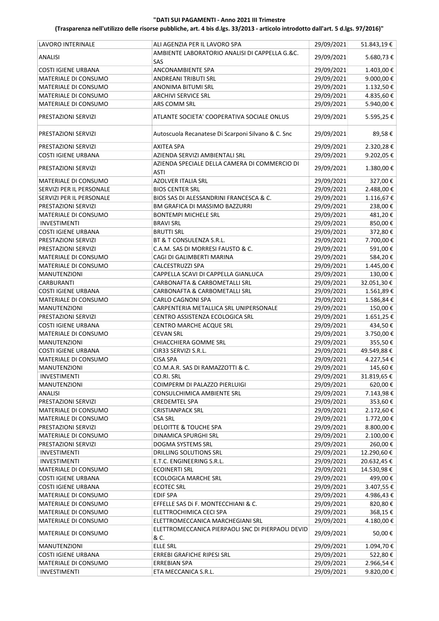| LAVORO INTERINALE          | ALI AGENZIA PER IL LAVORO SPA                                | 29/09/2021 | 51.843,19€  |
|----------------------------|--------------------------------------------------------------|------------|-------------|
| <b>ANALISI</b>             | AMBIENTE LABORATORIO ANALISI DI CAPPELLA G.&C.               | 29/09/2021 | 5.680,73€   |
|                            | SAS                                                          |            |             |
| <b>COSTI IGIENE URBANA</b> | ANCONAMBIENTE SPA                                            | 29/09/2021 | 1.403,00 €  |
| MATERIALE DI CONSUMO       | ANDREANI TRIBUTI SRL                                         | 29/09/2021 | 9.000,00€   |
| MATERIALE DI CONSUMO       | <b>ANONIMA BITUMI SRL</b>                                    | 29/09/2021 | 1.132,50€   |
| MATERIALE DI CONSUMO       | <b>ARCHIVI SERVICE SRL</b>                                   | 29/09/2021 | 4.835,60€   |
| MATERIALE DI CONSUMO       | ARS COMM SRL                                                 | 29/09/2021 | 5.940,00€   |
| PRESTAZIONI SERVIZI        | ATLANTE SOCIETA' COOPERATIVA SOCIALE ONLUS                   | 29/09/2021 | 5.595,25€   |
| PRESTAZIONI SERVIZI        | Autoscuola Recanatese Di Scarponi Silvano & C. Snc           | 29/09/2021 | 89,58€      |
| PRESTAZIONI SERVIZI        | <b>AXITEA SPA</b>                                            | 29/09/2021 | 2.320,28€   |
| <b>COSTI IGIENE URBANA</b> | AZIENDA SERVIZI AMBIENTALI SRL                               | 29/09/2021 | 9.202,05€   |
| PRESTAZIONI SERVIZI        | AZIENDA SPECIALE DELLA CAMERA DI COMMERCIO DI<br><b>ASTI</b> | 29/09/2021 | 1.380,00€   |
| MATERIALE DI CONSUMO       | <b>AZOLVER ITALIA SRL</b>                                    | 29/09/2021 | 327,00€     |
| SERVIZI PER IL PERSONALE   | <b>BIOS CENTER SRL</b>                                       | 29/09/2021 | 2.488,00 €  |
| SERVIZI PER IL PERSONALE   | BIOS SAS DI ALESSANDRINI FRANCESCA & C.                      | 29/09/2021 | 1.116,67€   |
| PRESTAZIONI SERVIZI        | BM GRAFICA DI MASSIMO BAZZURRI                               | 29/09/2021 | 238,00€     |
| MATERIALE DI CONSUMO       | <b>BONTEMPI MICHELE SRL</b>                                  | 29/09/2021 | 481,20€     |
| <b>INVESTIMENTI</b>        | <b>BRAVI SRL</b>                                             | 29/09/2021 | 850,00€     |
| <b>COSTI IGIENE URBANA</b> | <b>BRUTTI SRL</b>                                            | 29/09/2021 | 372,80€     |
| PRESTAZIONI SERVIZI        | BT & T CONSULENZA S.R.L.                                     | 29/09/2021 | 7.700,00 €  |
| PRESTAZIONI SERVIZI        | C.A.M. SAS DI MORRESI FAUSTO & C.                            | 29/09/2021 | 591,00€     |
| MATERIALE DI CONSUMO       | CAGI DI GALIMBERTI MARINA                                    | 29/09/2021 | 584,20€     |
| MATERIALE DI CONSUMO       | CALCESTRUZZI SPA                                             | 29/09/2021 | 1.445,00 €  |
| MANUTENZIONI               | CAPPELLA SCAVI DI CAPPELLA GIANLUCA                          | 29/09/2021 | 130,00€     |
| CARBURANTI                 | CARBONAFTA & CARBOMETALLI SRL                                | 29/09/2021 | 32.051,30€  |
| <b>COSTI IGIENE URBANA</b> | CARBONAFTA & CARBOMETALLI SRL                                | 29/09/2021 | 1.561,89€   |
| MATERIALE DI CONSUMO       | CARLO CAGNONI SPA                                            | 29/09/2021 | 1.586,84€   |
| <b>MANUTENZIONI</b>        | CARPENTERIA METALLICA SRL UNIPERSONALE                       | 29/09/2021 | 150,00€     |
| PRESTAZIONI SERVIZI        | CENTRO ASSISTENZA ECOLOGICA SRL                              | 29/09/2021 | 1.651,25€   |
| <b>COSTI IGIENE URBANA</b> | CENTRO MARCHE ACQUE SRL                                      | 29/09/2021 | 434,50€     |
| MATERIALE DI CONSUMO       | <b>CEVAN SRL</b>                                             | 29/09/2021 | 3.750,00€   |
| <b>MANUTENZIONI</b>        | CHIACCHIERA GOMME SRL                                        | 29/09/2021 | 355,50€     |
| <b>COSTI IGIENE URBANA</b> | CIR33 SERVIZI S.R.L.                                         | 29/09/2021 | 49.549,88€  |
| MATERIALE DI CONSUMO       | <b>CISA SPA</b>                                              | 29/09/2021 | 4.227,54€   |
| <b>MANUTENZIONI</b>        | CO.M.A.R. SAS DI RAMAZZOTTI & C.                             | 29/09/2021 | 145,60€     |
| INVESTIMENTI               | CO.RI. SRL                                                   | 29/09/2021 | 31.819,65 € |
| MANUTENZIONI               | COIMPERM DI PALAZZO PIERLUIGI                                | 29/09/2021 | 620,00€     |
| <b>ANALISI</b>             | CONSULCHIMICA AMBIENTE SRL                                   | 29/09/2021 | 7.143,98€   |
| PRESTAZIONI SERVIZI        | CREDEMTEL SPA                                                | 29/09/2021 | 353,60€     |
| MATERIALE DI CONSUMO       | <b>CRISTIANPACK SRL</b>                                      | 29/09/2021 | 2.172,60€   |
| MATERIALE DI CONSUMO       | CSA SRL                                                      | 29/09/2021 | 1.772,00€   |
| PRESTAZIONI SERVIZI        | DELOITTE & TOUCHE SPA                                        | 29/09/2021 | 8.800,00 €  |
| MATERIALE DI CONSUMO       | DINAMICA SPURGHI SRL                                         | 29/09/2021 | 2.100,00 €  |
| PRESTAZIONI SERVIZI        | DOGMA SYSTEMS SRL                                            | 29/09/2021 | 260,00€     |
| <b>INVESTIMENTI</b>        | DRILLING SOLUTIONS SRL                                       | 29/09/2021 | 12.290,60€  |
| <b>INVESTIMENTI</b>        | E.T.C. ENGINEERING S.R.L.                                    | 29/09/2021 | 20.632,45€  |
| MATERIALE DI CONSUMO       | <b>ECOINERTI SRL</b>                                         | 29/09/2021 | 14.530,98€  |
| <b>COSTI IGIENE URBANA</b> | <b>ECOLOGICA MARCHE SRL</b>                                  | 29/09/2021 | 499,00€     |
| <b>COSTI IGIENE URBANA</b> | <b>ECOTEC SRL</b>                                            | 29/09/2021 | 3.407,55 €  |
| MATERIALE DI CONSUMO       | <b>EDIF SPA</b>                                              | 29/09/2021 | 4.986,43€   |
| MATERIALE DI CONSUMO       | EFFELLE SAS Di F. MONTECCHIANI & C.                          | 29/09/2021 | 820,80€     |
| MATERIALE DI CONSUMO       | ELETTROCHIMICA CECI SPA                                      | 29/09/2021 | 368,15€     |
| MATERIALE DI CONSUMO       | ELETTROMECCANICA MARCHEGIANI SRL                             | 29/09/2021 | 4.180,00€   |
| MATERIALE DI CONSUMO       | ELETTROMECCANICA PIERPAOLI SNC DI PIERPAOLI DEVID<br>& C.    | 29/09/2021 | 50,00€      |
| MANUTENZIONI               | <b>ELLE SRL</b>                                              | 29/09/2021 | 1.094,70€   |
| <b>COSTI IGIENE URBANA</b> | ERREBI GRAFICHE RIPESI SRL                                   | 29/09/2021 | 522,80€     |
| MATERIALE DI CONSUMO       | <b>ERREBIAN SPA</b>                                          | 29/09/2021 | 2.966,54€   |
| INVESTIMENTI               | ETA MECCANICA S.R.L.                                         | 29/09/2021 | 9.820,00€   |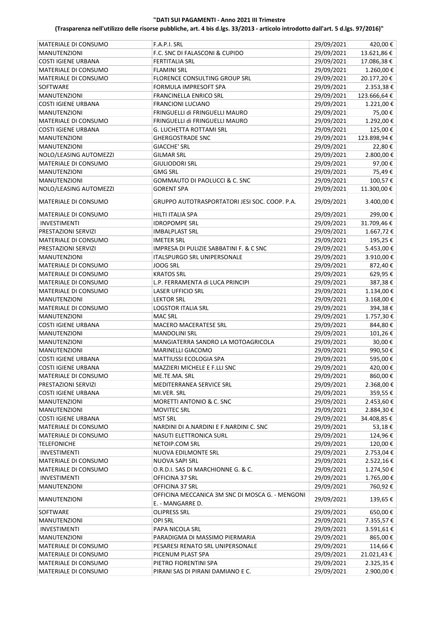| MATERIALE DI CONSUMO                | F.A.P.I. SRL                                                        | 29/09/2021 | 420,00€     |
|-------------------------------------|---------------------------------------------------------------------|------------|-------------|
| MANUTENZIONI                        | F.C. SNC DI FALASCONI & CUPIDO                                      | 29/09/2021 | 13.621,86€  |
| <b>COSTI IGIENE URBANA</b>          | <b>FERTITALIA SRL</b>                                               | 29/09/2021 | 17.086,38€  |
| MATERIALE DI CONSUMO                | <b>FLAMINI SRL</b>                                                  | 29/09/2021 | 1.260,00€   |
| MATERIALE DI CONSUMO                | FLORENCE CONSULTING GROUP SRL                                       | 29/09/2021 | 20.177,20€  |
| <b>SOFTWARE</b>                     |                                                                     | 29/09/2021 |             |
|                                     | FORMULA IMPRESOFT SPA                                               | 29/09/2021 | 2.353,38€   |
| <b>MANUTENZIONI</b>                 | FRANCINELLA ENRICO SRL                                              |            | 123.666,64€ |
| <b>COSTI IGIENE URBANA</b>          | <b>FRANCIONI LUCIANO</b>                                            | 29/09/2021 | 1.221,00 €  |
| MANUTENZIONI                        | FRINGUELLI di FRINGUELLI MAURO                                      | 29/09/2021 | 75,00€      |
| MATERIALE DI CONSUMO                | FRINGUELLI di FRINGUELLI MAURO                                      | 29/09/2021 | 1.292,00 €  |
| <b>COSTI IGIENE URBANA</b>          | <b>G. LUCHETTA ROTTAMI SRL</b>                                      | 29/09/2021 | 125,00€     |
| <b>MANUTENZIONI</b>                 | <b>GHERGOSTRADE SNC</b>                                             | 29/09/2021 | 123.898,94€ |
| <b>MANUTENZIONI</b>                 | <b>GIACCHE' SRL</b>                                                 | 29/09/2021 | 22,80€      |
| NOLO/LEASING AUTOMEZZI              | <b>GILMAR SRL</b>                                                   | 29/09/2021 | 2.800,00 €  |
| MATERIALE DI CONSUMO                | <b>GIULIODORI SRL</b>                                               | 29/09/2021 | 97,00€      |
| MANUTENZIONI                        | <b>GMG SRL</b>                                                      | 29/09/2021 | 75,49€      |
| <b>MANUTENZIONI</b>                 | <b>GOMMAUTO DI PAOLUCCI &amp; C. SNC</b>                            | 29/09/2021 | 100,57€     |
| NOLO/LEASING AUTOMEZZI              | <b>GORENT SPA</b>                                                   | 29/09/2021 | 11.300,00€  |
| <b>MATERIALE DI CONSUMO</b>         | <b>GRUPPO AUTOTRASPORTATORI JESI SOC. COOP. P.A.</b>                | 29/09/2021 | 3.400,00 €  |
| MATERIALE DI CONSUMO                | <b>HILTI ITALIA SPA</b>                                             | 29/09/2021 | 299,00€     |
| <b>INVESTIMENTI</b>                 | <b>IDROPOMPE SRL</b>                                                | 29/09/2021 | 31.709,46€  |
| PRESTAZIONI SERVIZI                 | <b>IMBALPLAST SRL</b>                                               | 29/09/2021 | 1.667,72€   |
| MATERIALE DI CONSUMO                | <b>IMETER SRL</b>                                                   | 29/09/2021 | 195,25€     |
| PRESTAZIONI SERVIZI                 | IMPRESA DI PULIZIE SABBATINI F. & C SNC                             | 29/09/2021 | 5.453,00€   |
| MANUTENZIONI                        | ITALSPURGO SRL UNIPERSONALE                                         | 29/09/2021 | 3.910,00€   |
| MATERIALE DI CONSUMO                | <b>JOOG SRL</b>                                                     | 29/09/2021 | 872,40€     |
| MATERIALE DI CONSUMO                | <b>KRATOS SRL</b>                                                   | 29/09/2021 | 629,95€     |
| MATERIALE DI CONSUMO                | L.P. FERRAMENTA di LUCA PRINCIPI                                    | 29/09/2021 | 387,38€     |
|                                     | <b>LASER UFFICIO SRL</b>                                            | 29/09/2021 |             |
| MATERIALE DI CONSUMO                |                                                                     |            | 1.134,00 €  |
| <b>MANUTENZIONI</b>                 | <b>LEKTOR SRL</b>                                                   | 29/09/2021 | 3.168,00 €  |
| MATERIALE DI CONSUMO                | <b>LOGSTOR ITALIA SRL</b>                                           | 29/09/2021 | 394,38€     |
| <b>MANUTENZIONI</b>                 | <b>MAC SRL</b>                                                      | 29/09/2021 | 1.757,30€   |
| <b>COSTI IGIENE URBANA</b>          | <b>MACERO MACERATESE SRL</b>                                        | 29/09/2021 | 844,80€     |
| <b>MANUTENZIONI</b>                 | <b>MANDOLINI SRL</b>                                                | 29/09/2021 | 101,26€     |
| <b>MANUTENZIONI</b>                 | MANGIATERRA SANDRO LA MOTOAGRICOLA                                  | 29/09/2021 | 30,00€      |
| <b>MANUTENZIONI</b>                 | <b>MARINELLI GIACOMO</b>                                            | 29/09/2021 | 990,50€     |
| <b>COSTI IGIENE URBANA</b>          | MATTIUSSI ECOLOGIA SPA                                              | 29/09/2021 | 595,00€     |
| <b>COSTI IGIENE URBANA</b>          | MAZZIERI MICHELE E F.LLI SNC                                        | 29/09/2021 | 420,00€     |
| MATERIALE DI CONSUMO                | ME.TE.MA. SRL                                                       | 29/09/2021 | 860,00€     |
| PRESTAZIONI SERVIZI                 | MEDITERRANEA SERVICE SRL                                            | 29/09/2021 | 2.368,00 €  |
| <b>COSTI IGIENE URBANA</b>          | MI.VER. SRL                                                         | 29/09/2021 | 359,55€     |
| <b>MANUTENZIONI</b>                 | MORETTI ANTONIO & C. SNC                                            | 29/09/2021 | 2.453,60 €  |
| MANUTENZIONI                        | <b>MOVITEC SRL</b>                                                  | 29/09/2021 | 2.884,30 €  |
| <b>COSTI IGIENE URBANA</b>          | <b>MST SRL</b>                                                      | 29/09/2021 | 34.408,85€  |
| MATERIALE DI CONSUMO                | NARDINI DI A.NARDINI E F.NARDINI C. SNC                             | 29/09/2021 | 53,18€      |
| MATERIALE DI CONSUMO                | NASUTI ELETTRONICA SURL                                             | 29/09/2021 | 124,96€     |
| <b>TELEFONICHE</b>                  | NETOIP.COM SRL                                                      | 29/09/2021 | 120,00€     |
| <b>INVESTIMENTI</b>                 | NUOVA EDILMONTE SRL                                                 | 29/09/2021 | 2.753,04€   |
| MATERIALE DI CONSUMO                | NUOVA SAPI SRL                                                      | 29/09/2021 | 2.522,16€   |
| MATERIALE DI CONSUMO                | O.R.D.I. SAS DI MARCHIONNE G. & C.                                  | 29/09/2021 | 1.274,50€   |
| <b>INVESTIMENTI</b>                 | OFFICINA 37 SRL                                                     | 29/09/2021 | 1.765,00€   |
| MANUTENZIONI                        | OFFICINA 37 SRL                                                     | 29/09/2021 | 760,92€     |
| <b>MANUTENZIONI</b>                 | OFFICINA MECCANICA 3M SNC DI MOSCA G. - MENGONI<br>E. - MANGARRE D. | 29/09/2021 | 139,65€     |
| SOFTWARE                            | <b>OLIPRESS SRL</b>                                                 | 29/09/2021 | 650,00€     |
|                                     | <b>OPI SRL</b>                                                      | 29/09/2021 | 7.355,57€   |
| <b>MANUTENZIONI</b><br>INVESTIMENTI | PAPA NICOLA SRL                                                     | 29/09/2021 |             |
|                                     |                                                                     |            | 3.591,61€   |
| MANUTENZIONI                        | PARADIGMA DI MASSIMO PIERMARIA                                      | 29/09/2021 | 865,00€     |
| MATERIALE DI CONSUMO                | PESARESI RENATO SRL UNIPERSONALE                                    | 29/09/2021 | 114,66€     |
| MATERIALE DI CONSUMO                | PICENUM PLAST SPA                                                   | 29/09/2021 | 21.021,43€  |
| MATERIALE DI CONSUMO                | PIETRO FIORENTINI SPA                                               | 29/09/2021 | 2.325,35 €  |
| MATERIALE DI CONSUMO                | PIRANI SAS DI PIRANI DAMIANO E C.                                   | 29/09/2021 | 2.900,00 €  |